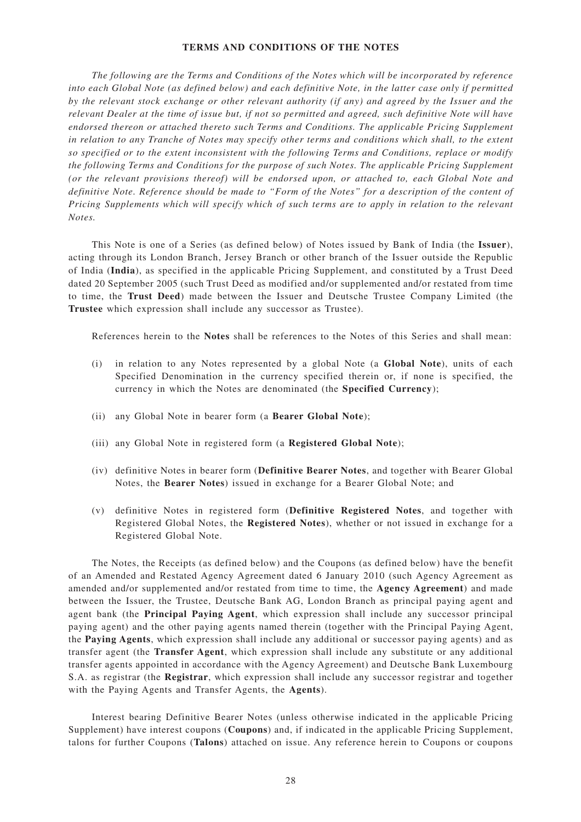## **TERMS AND CONDITIONS OF THE NOTES**

*The following are the Terms and Conditions of the Notes which will be incorporated by reference into each Global Note (as defined below) and each definitive Note, in the latter case only if permitted by the relevant stock exchange or other relevant authority (if any) and agreed by the Issuer and the relevant Dealer at the time of issue but, if not so permitted and agreed, such definitive Note will have endorsed thereon or attached thereto such Terms and Conditions. The applicable Pricing Supplement in relation to any Tranche of Notes may specify other terms and conditions which shall, to the extent so specified or to the extent inconsistent with the following Terms and Conditions, replace or modify the following Terms and Conditions for the purpose of such Notes. The applicable Pricing Supplement (or the relevant provisions thereof) will be endorsed upon, or attached to, each Global Note and definitive Note. Reference should be made to "Form of the Notes" for a description of the content of Pricing Supplements which will specify which of such terms are to apply in relation to the relevant Notes.*

This Note is one of a Series (as defined below) of Notes issued by Bank of India (the **Issuer**), acting through its London Branch, Jersey Branch or other branch of the Issuer outside the Republic of India (**India**), as specified in the applicable Pricing Supplement, and constituted by a Trust Deed dated 20 September 2005 (such Trust Deed as modified and/or supplemented and/or restated from time to time, the **Trust Deed**) made between the Issuer and Deutsche Trustee Company Limited (the **Trustee** which expression shall include any successor as Trustee).

References herein to the **Notes** shall be references to the Notes of this Series and shall mean:

- (i) in relation to any Notes represented by a global Note (a **Global Note**), units of each Specified Denomination in the currency specified therein or, if none is specified, the currency in which the Notes are denominated (the **Specified Currency**);
- (ii) any Global Note in bearer form (a **Bearer Global Note**);
- (iii) any Global Note in registered form (a **Registered Global Note**);
- (iv) definitive Notes in bearer form (**Definitive Bearer Notes**, and together with Bearer Global Notes, the **Bearer Notes**) issued in exchange for a Bearer Global Note; and
- (v) definitive Notes in registered form (**Definitive Registered Notes**, and together with Registered Global Notes, the **Registered Notes**), whether or not issued in exchange for a Registered Global Note.

The Notes, the Receipts (as defined below) and the Coupons (as defined below) have the benefit of an Amended and Restated Agency Agreement dated 6 January 2010 (such Agency Agreement as amended and/or supplemented and/or restated from time to time, the **Agency Agreement**) and made between the Issuer, the Trustee, Deutsche Bank AG, London Branch as principal paying agent and agent bank (the **Principal Paying Agent**, which expression shall include any successor principal paying agent) and the other paying agents named therein (together with the Principal Paying Agent, the **Paying Agents**, which expression shall include any additional or successor paying agents) and as transfer agent (the **Transfer Agent**, which expression shall include any substitute or any additional transfer agents appointed in accordance with the Agency Agreement) and Deutsche Bank Luxembourg S.A. as registrar (the **Registrar**, which expression shall include any successor registrar and together with the Paying Agents and Transfer Agents, the **Agents**).

Interest bearing Definitive Bearer Notes (unless otherwise indicated in the applicable Pricing Supplement) have interest coupons (**Coupons**) and, if indicated in the applicable Pricing Supplement, talons for further Coupons (**Talons**) attached on issue. Any reference herein to Coupons or coupons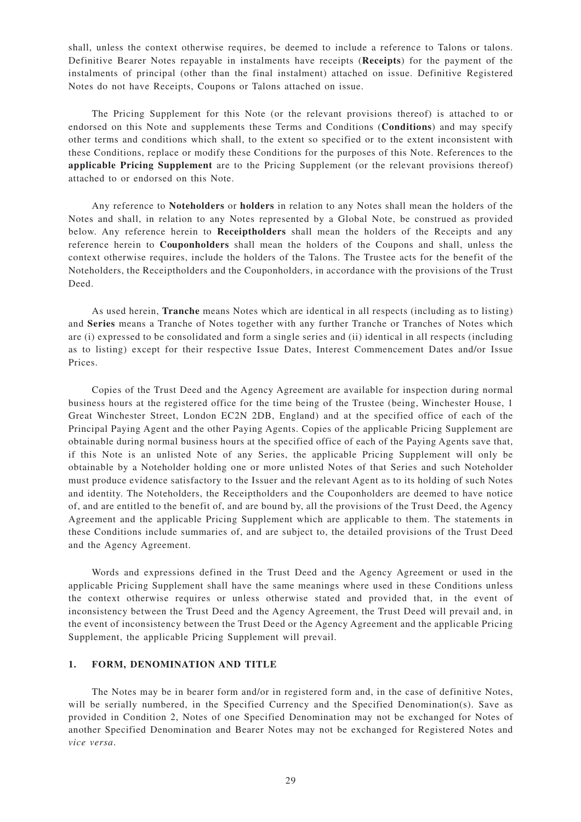shall, unless the context otherwise requires, be deemed to include a reference to Talons or talons. Definitive Bearer Notes repayable in instalments have receipts (**Receipts**) for the payment of the instalments of principal (other than the final instalment) attached on issue. Definitive Registered Notes do not have Receipts, Coupons or Talons attached on issue.

The Pricing Supplement for this Note (or the relevant provisions thereof) is attached to or endorsed on this Note and supplements these Terms and Conditions (**Conditions**) and may specify other terms and conditions which shall, to the extent so specified or to the extent inconsistent with these Conditions, replace or modify these Conditions for the purposes of this Note. References to the **applicable Pricing Supplement** are to the Pricing Supplement (or the relevant provisions thereof) attached to or endorsed on this Note.

Any reference to **Noteholders** or **holders** in relation to any Notes shall mean the holders of the Notes and shall, in relation to any Notes represented by a Global Note, be construed as provided below. Any reference herein to **Receiptholders** shall mean the holders of the Receipts and any reference herein to **Couponholders** shall mean the holders of the Coupons and shall, unless the context otherwise requires, include the holders of the Talons. The Trustee acts for the benefit of the Noteholders, the Receiptholders and the Couponholders, in accordance with the provisions of the Trust Deed.

As used herein, **Tranche** means Notes which are identical in all respects (including as to listing) and **Series** means a Tranche of Notes together with any further Tranche or Tranches of Notes which are (i) expressed to be consolidated and form a single series and (ii) identical in all respects (including as to listing) except for their respective Issue Dates, Interest Commencement Dates and/or Issue Prices.

Copies of the Trust Deed and the Agency Agreement are available for inspection during normal business hours at the registered office for the time being of the Trustee (being, Winchester House, 1 Great Winchester Street, London EC2N 2DB, England) and at the specified office of each of the Principal Paying Agent and the other Paying Agents. Copies of the applicable Pricing Supplement are obtainable during normal business hours at the specified office of each of the Paying Agents save that, if this Note is an unlisted Note of any Series, the applicable Pricing Supplement will only be obtainable by a Noteholder holding one or more unlisted Notes of that Series and such Noteholder must produce evidence satisfactory to the Issuer and the relevant Agent as to its holding of such Notes and identity. The Noteholders, the Receiptholders and the Couponholders are deemed to have notice of, and are entitled to the benefit of, and are bound by, all the provisions of the Trust Deed, the Agency Agreement and the applicable Pricing Supplement which are applicable to them. The statements in these Conditions include summaries of, and are subject to, the detailed provisions of the Trust Deed and the Agency Agreement.

Words and expressions defined in the Trust Deed and the Agency Agreement or used in the applicable Pricing Supplement shall have the same meanings where used in these Conditions unless the context otherwise requires or unless otherwise stated and provided that, in the event of inconsistency between the Trust Deed and the Agency Agreement, the Trust Deed will prevail and, in the event of inconsistency between the Trust Deed or the Agency Agreement and the applicable Pricing Supplement, the applicable Pricing Supplement will prevail.

## **1. FORM, DENOMINATION AND TITLE**

The Notes may be in bearer form and/or in registered form and, in the case of definitive Notes, will be serially numbered, in the Specified Currency and the Specified Denomination(s). Save as provided in Condition 2, Notes of one Specified Denomination may not be exchanged for Notes of another Specified Denomination and Bearer Notes may not be exchanged for Registered Notes and *vice versa*.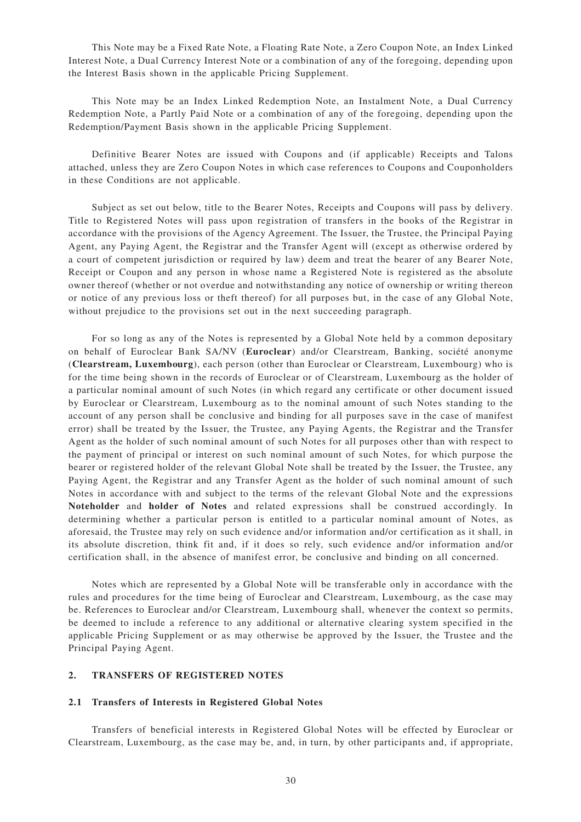This Note may be a Fixed Rate Note, a Floating Rate Note, a Zero Coupon Note, an Index Linked Interest Note, a Dual Currency Interest Note or a combination of any of the foregoing, depending upon the Interest Basis shown in the applicable Pricing Supplement.

This Note may be an Index Linked Redemption Note, an Instalment Note, a Dual Currency Redemption Note, a Partly Paid Note or a combination of any of the foregoing, depending upon the Redemption/Payment Basis shown in the applicable Pricing Supplement.

Definitive Bearer Notes are issued with Coupons and (if applicable) Receipts and Talons attached, unless they are Zero Coupon Notes in which case references to Coupons and Couponholders in these Conditions are not applicable.

Subject as set out below, title to the Bearer Notes, Receipts and Coupons will pass by delivery. Title to Registered Notes will pass upon registration of transfers in the books of the Registrar in accordance with the provisions of the Agency Agreement. The Issuer, the Trustee, the Principal Paying Agent, any Paying Agent, the Registrar and the Transfer Agent will (except as otherwise ordered by a court of competent jurisdiction or required by law) deem and treat the bearer of any Bearer Note, Receipt or Coupon and any person in whose name a Registered Note is registered as the absolute owner thereof (whether or not overdue and notwithstanding any notice of ownership or writing thereon or notice of any previous loss or theft thereof) for all purposes but, in the case of any Global Note, without prejudice to the provisions set out in the next succeeding paragraph.

For so long as any of the Notes is represented by a Global Note held by a common depositary on behalf of Euroclear Bank SA/NV (Euroclear) and/or Clearstream, Banking, société anonyme (**Clearstream, Luxembourg**), each person (other than Euroclear or Clearstream, Luxembourg) who is for the time being shown in the records of Euroclear or of Clearstream, Luxembourg as the holder of a particular nominal amount of such Notes (in which regard any certificate or other document issued by Euroclear or Clearstream, Luxembourg as to the nominal amount of such Notes standing to the account of any person shall be conclusive and binding for all purposes save in the case of manifest error) shall be treated by the Issuer, the Trustee, any Paying Agents, the Registrar and the Transfer Agent as the holder of such nominal amount of such Notes for all purposes other than with respect to the payment of principal or interest on such nominal amount of such Notes, for which purpose the bearer or registered holder of the relevant Global Note shall be treated by the Issuer, the Trustee, any Paying Agent, the Registrar and any Transfer Agent as the holder of such nominal amount of such Notes in accordance with and subject to the terms of the relevant Global Note and the expressions **Noteholder** and **holder of Notes** and related expressions shall be construed accordingly. In determining whether a particular person is entitled to a particular nominal amount of Notes, as aforesaid, the Trustee may rely on such evidence and/or information and/or certification as it shall, in its absolute discretion, think fit and, if it does so rely, such evidence and/or information and/or certification shall, in the absence of manifest error, be conclusive and binding on all concerned.

Notes which are represented by a Global Note will be transferable only in accordance with the rules and procedures for the time being of Euroclear and Clearstream, Luxembourg, as the case may be. References to Euroclear and/or Clearstream, Luxembourg shall, whenever the context so permits, be deemed to include a reference to any additional or alternative clearing system specified in the applicable Pricing Supplement or as may otherwise be approved by the Issuer, the Trustee and the Principal Paying Agent.

## **2. TRANSFERS OF REGISTERED NOTES**

#### **2.1 Transfers of Interests in Registered Global Notes**

Transfers of beneficial interests in Registered Global Notes will be effected by Euroclear or Clearstream, Luxembourg, as the case may be, and, in turn, by other participants and, if appropriate,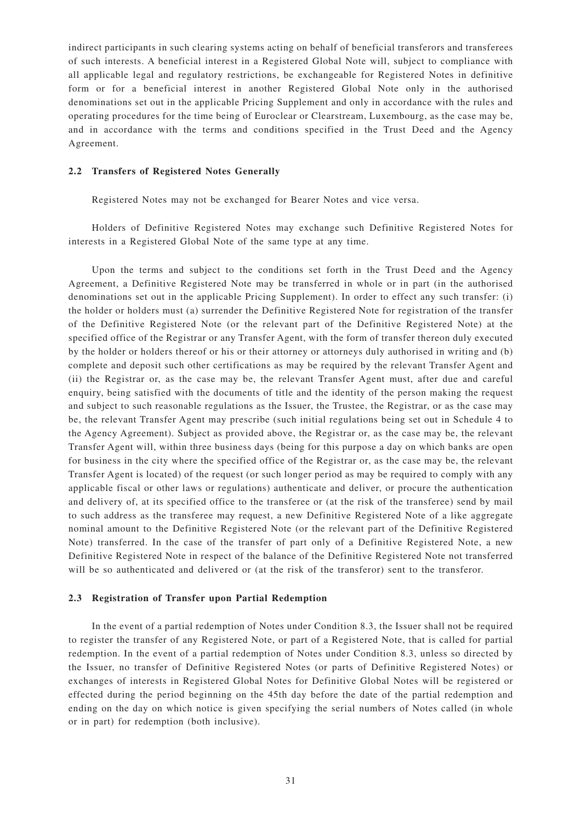indirect participants in such clearing systems acting on behalf of beneficial transferors and transferees of such interests. A beneficial interest in a Registered Global Note will, subject to compliance with all applicable legal and regulatory restrictions, be exchangeable for Registered Notes in definitive form or for a beneficial interest in another Registered Global Note only in the authorised denominations set out in the applicable Pricing Supplement and only in accordance with the rules and operating procedures for the time being of Euroclear or Clearstream, Luxembourg, as the case may be, and in accordance with the terms and conditions specified in the Trust Deed and the Agency Agreement.

## **2.2 Transfers of Registered Notes Generally**

Registered Notes may not be exchanged for Bearer Notes and vice versa.

Holders of Definitive Registered Notes may exchange such Definitive Registered Notes for interests in a Registered Global Note of the same type at any time.

Upon the terms and subject to the conditions set forth in the Trust Deed and the Agency Agreement, a Definitive Registered Note may be transferred in whole or in part (in the authorised denominations set out in the applicable Pricing Supplement). In order to effect any such transfer: (i) the holder or holders must (a) surrender the Definitive Registered Note for registration of the transfer of the Definitive Registered Note (or the relevant part of the Definitive Registered Note) at the specified office of the Registrar or any Transfer Agent, with the form of transfer thereon duly executed by the holder or holders thereof or his or their attorney or attorneys duly authorised in writing and (b) complete and deposit such other certifications as may be required by the relevant Transfer Agent and (ii) the Registrar or, as the case may be, the relevant Transfer Agent must, after due and careful enquiry, being satisfied with the documents of title and the identity of the person making the request and subject to such reasonable regulations as the Issuer, the Trustee, the Registrar, or as the case may be, the relevant Transfer Agent may prescribe (such initial regulations being set out in Schedule 4 to the Agency Agreement). Subject as provided above, the Registrar or, as the case may be, the relevant Transfer Agent will, within three business days (being for this purpose a day on which banks are open for business in the city where the specified office of the Registrar or, as the case may be, the relevant Transfer Agent is located) of the request (or such longer period as may be required to comply with any applicable fiscal or other laws or regulations) authenticate and deliver, or procure the authentication and delivery of, at its specified office to the transferee or (at the risk of the transferee) send by mail to such address as the transferee may request, a new Definitive Registered Note of a like aggregate nominal amount to the Definitive Registered Note (or the relevant part of the Definitive Registered Note) transferred. In the case of the transfer of part only of a Definitive Registered Note, a new Definitive Registered Note in respect of the balance of the Definitive Registered Note not transferred will be so authenticated and delivered or (at the risk of the transferor) sent to the transferor.

# **2.3 Registration of Transfer upon Partial Redemption**

In the event of a partial redemption of Notes under Condition 8.3, the Issuer shall not be required to register the transfer of any Registered Note, or part of a Registered Note, that is called for partial redemption. In the event of a partial redemption of Notes under Condition 8.3, unless so directed by the Issuer, no transfer of Definitive Registered Notes (or parts of Definitive Registered Notes) or exchanges of interests in Registered Global Notes for Definitive Global Notes will be registered or effected during the period beginning on the 45th day before the date of the partial redemption and ending on the day on which notice is given specifying the serial numbers of Notes called (in whole or in part) for redemption (both inclusive).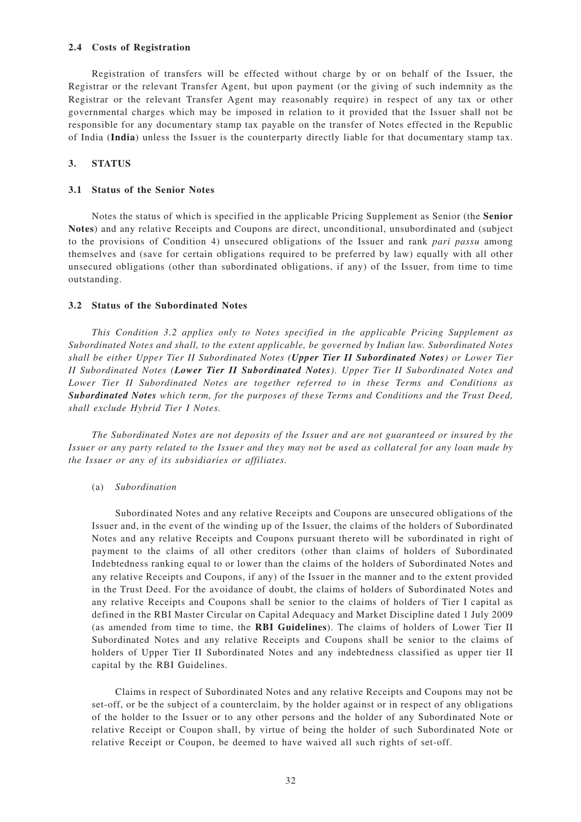#### **2.4 Costs of Registration**

Registration of transfers will be effected without charge by or on behalf of the Issuer, the Registrar or the relevant Transfer Agent, but upon payment (or the giving of such indemnity as the Registrar or the relevant Transfer Agent may reasonably require) in respect of any tax or other governmental charges which may be imposed in relation to it provided that the Issuer shall not be responsible for any documentary stamp tax payable on the transfer of Notes effected in the Republic of India (**India**) unless the Issuer is the counterparty directly liable for that documentary stamp tax.

### **3. STATUS**

## **3.1 Status of the Senior Notes**

Notes the status of which is specified in the applicable Pricing Supplement as Senior (the **Senior Notes**) and any relative Receipts and Coupons are direct, unconditional, unsubordinated and (subject to the provisions of Condition 4) unsecured obligations of the Issuer and rank *pari passu* among themselves and (save for certain obligations required to be preferred by law) equally with all other unsecured obligations (other than subordinated obligations, if any) of the Issuer, from time to time outstanding.

## **3.2 Status of the Subordinated Notes**

*This Condition 3.2 applies only to Notes specified in the applicable Pricing Supplement as Subordinated Notes and shall, to the extent applicable, be governed by Indian law. Subordinated Notes shall be either Upper Tier II Subordinated Notes (Upper Tier II Subordinated Notes) or Lower Tier II Subordinated Notes (Lower Tier II Subordinated Notes). Upper Tier II Subordinated Notes and Lower Tier II Subordinated Notes are together referred to in these Terms and Conditions as Subordinated Notes which term, for the purposes of these Terms and Conditions and the Trust Deed, shall exclude Hybrid Tier I Notes.*

*The Subordinated Notes are not deposits of the Issuer and are not guaranteed or insured by the Issuer or any party related to the Issuer and they may not be used as collateral for any loan made by the Issuer or any of its subsidiaries or affiliates.*

#### (a) *Subordination*

Subordinated Notes and any relative Receipts and Coupons are unsecured obligations of the Issuer and, in the event of the winding up of the Issuer, the claims of the holders of Subordinated Notes and any relative Receipts and Coupons pursuant thereto will be subordinated in right of payment to the claims of all other creditors (other than claims of holders of Subordinated Indebtedness ranking equal to or lower than the claims of the holders of Subordinated Notes and any relative Receipts and Coupons, if any) of the Issuer in the manner and to the extent provided in the Trust Deed. For the avoidance of doubt, the claims of holders of Subordinated Notes and any relative Receipts and Coupons shall be senior to the claims of holders of Tier I capital as defined in the RBI Master Circular on Capital Adequacy and Market Discipline dated 1 July 2009 (as amended from time to time, the **RBI Guidelines**). The claims of holders of Lower Tier II Subordinated Notes and any relative Receipts and Coupons shall be senior to the claims of holders of Upper Tier II Subordinated Notes and any indebtedness classified as upper tier II capital by the RBI Guidelines.

Claims in respect of Subordinated Notes and any relative Receipts and Coupons may not be set-off, or be the subject of a counterclaim, by the holder against or in respect of any obligations of the holder to the Issuer or to any other persons and the holder of any Subordinated Note or relative Receipt or Coupon shall, by virtue of being the holder of such Subordinated Note or relative Receipt or Coupon, be deemed to have waived all such rights of set-off.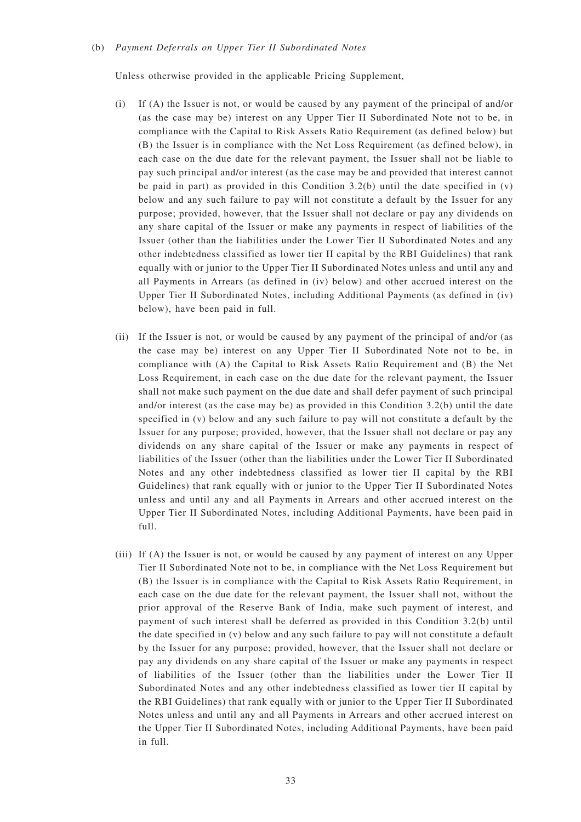#### (b) *Payment Deferrals on Upper Tier II Subordinated Notes*

Unless otherwise provided in the applicable Pricing Supplement,

- (i) If (A) the Issuer is not, or would be caused by any payment of the principal of and/or (as the case may be) interest on any Upper Tier II Subordinated Note not to be, in compliance with the Capital to Risk Assets Ratio Requirement (as defined below) but (B) the Issuer is in compliance with the Net Loss Requirement (as defined below), in each case on the due date for the relevant payment, the Issuer shall not be liable to pay such principal and/or interest (as the case may be and provided that interest cannot be paid in part) as provided in this Condition  $3.2(b)$  until the date specified in (v) below and any such failure to pay will not constitute a default by the Issuer for any purpose; provided, however, that the Issuer shall not declare or pay any dividends on any share capital of the Issuer or make any payments in respect of liabilities of the Issuer (other than the liabilities under the Lower Tier II Subordinated Notes and any other indebtedness classified as lower tier II capital by the RBI Guidelines) that rank equally with or junior to the Upper Tier II Subordinated Notes unless and until any and all Payments in Arrears (as defined in (iv) below) and other accrued interest on the Upper Tier II Subordinated Notes, including Additional Payments (as defined in (iv) below), have been paid in full.
- (ii) If the Issuer is not, or would be caused by any payment of the principal of and/or (as the case may be) interest on any Upper Tier II Subordinated Note not to be, in compliance with (A) the Capital to Risk Assets Ratio Requirement and (B) the Net Loss Requirement, in each case on the due date for the relevant payment, the Issuer shall not make such payment on the due date and shall defer payment of such principal and/or interest (as the case may be) as provided in this Condition 3.2(b) until the date specified in (v) below and any such failure to pay will not constitute a default by the Issuer for any purpose; provided, however, that the Issuer shall not declare or pay any dividends on any share capital of the Issuer or make any payments in respect of liabilities of the Issuer (other than the liabilities under the Lower Tier II Subordinated Notes and any other indebtedness classified as lower tier II capital by the RBI Guidelines) that rank equally with or junior to the Upper Tier II Subordinated Notes unless and until any and all Payments in Arrears and other accrued interest on the Upper Tier II Subordinated Notes, including Additional Payments, have been paid in full.
- (iii) If (A) the Issuer is not, or would be caused by any payment of interest on any Upper Tier II Subordinated Note not to be, in compliance with the Net Loss Requirement but (B) the Issuer is in compliance with the Capital to Risk Assets Ratio Requirement, in each case on the due date for the relevant payment, the Issuer shall not, without the prior approval of the Reserve Bank of India, make such payment of interest, and payment of such interest shall be deferred as provided in this Condition 3.2(b) until the date specified in (v) below and any such failure to pay will not constitute a default by the Issuer for any purpose; provided, however, that the Issuer shall not declare or pay any dividends on any share capital of the Issuer or make any payments in respect of liabilities of the Issuer (other than the liabilities under the Lower Tier II Subordinated Notes and any other indebtedness classified as lower tier II capital by the RBI Guidelines) that rank equally with or junior to the Upper Tier II Subordinated Notes unless and until any and all Payments in Arrears and other accrued interest on the Upper Tier II Subordinated Notes, including Additional Payments, have been paid in full.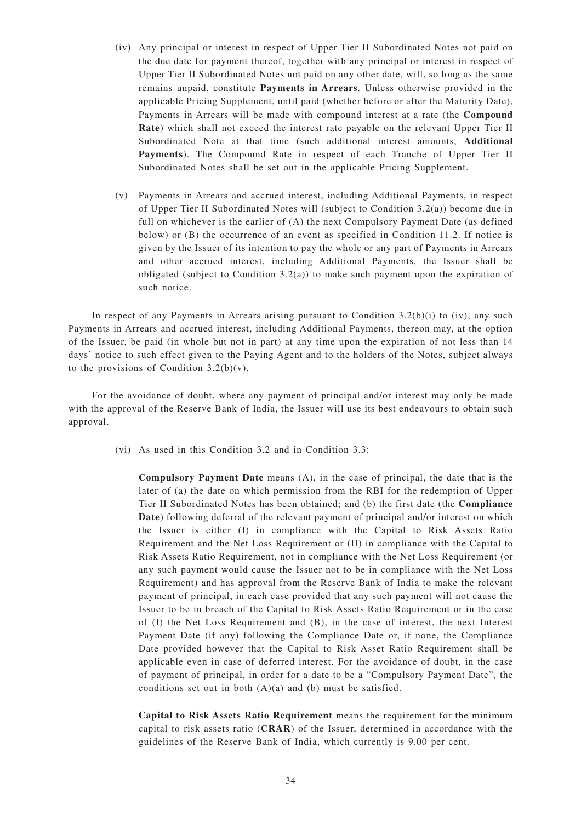- (iv) Any principal or interest in respect of Upper Tier II Subordinated Notes not paid on the due date for payment thereof, together with any principal or interest in respect of Upper Tier II Subordinated Notes not paid on any other date, will, so long as the same remains unpaid, constitute **Payments in Arrears**. Unless otherwise provided in the applicable Pricing Supplement, until paid (whether before or after the Maturity Date), Payments in Arrears will be made with compound interest at a rate (the **Compound Rate**) which shall not exceed the interest rate payable on the relevant Upper Tier II Subordinated Note at that time (such additional interest amounts, **Additional Payments**). The Compound Rate in respect of each Tranche of Upper Tier II Subordinated Notes shall be set out in the applicable Pricing Supplement.
- (v) Payments in Arrears and accrued interest, including Additional Payments, in respect of Upper Tier II Subordinated Notes will (subject to Condition 3.2(a)) become due in full on whichever is the earlier of (A) the next Compulsory Payment Date (as defined below) or (B) the occurrence of an event as specified in Condition 11.2. If notice is given by the Issuer of its intention to pay the whole or any part of Payments in Arrears and other accrued interest, including Additional Payments, the Issuer shall be obligated (subject to Condition 3.2(a)) to make such payment upon the expiration of such notice.

In respect of any Payments in Arrears arising pursuant to Condition  $3.2(b)(i)$  to (iv), any such Payments in Arrears and accrued interest, including Additional Payments, thereon may, at the option of the Issuer, be paid (in whole but not in part) at any time upon the expiration of not less than 14 days' notice to such effect given to the Paying Agent and to the holders of the Notes, subject always to the provisions of Condition  $3.2(b)(v)$ .

For the avoidance of doubt, where any payment of principal and/or interest may only be made with the approval of the Reserve Bank of India, the Issuer will use its best endeavours to obtain such approval.

(vi) As used in this Condition 3.2 and in Condition 3.3:

**Compulsory Payment Date** means (A), in the case of principal, the date that is the later of (a) the date on which permission from the RBI for the redemption of Upper Tier II Subordinated Notes has been obtained; and (b) the first date (the **Compliance Date**) following deferral of the relevant payment of principal and/or interest on which the Issuer is either (I) in compliance with the Capital to Risk Assets Ratio Requirement and the Net Loss Requirement or (II) in compliance with the Capital to Risk Assets Ratio Requirement, not in compliance with the Net Loss Requirement (or any such payment would cause the Issuer not to be in compliance with the Net Loss Requirement) and has approval from the Reserve Bank of India to make the relevant payment of principal, in each case provided that any such payment will not cause the Issuer to be in breach of the Capital to Risk Assets Ratio Requirement or in the case of (I) the Net Loss Requirement and (B), in the case of interest, the next Interest Payment Date (if any) following the Compliance Date or, if none, the Compliance Date provided however that the Capital to Risk Asset Ratio Requirement shall be applicable even in case of deferred interest. For the avoidance of doubt, in the case of payment of principal, in order for a date to be a "Compulsory Payment Date", the conditions set out in both (A)(a) and (b) must be satisfied.

**Capital to Risk Assets Ratio Requirement** means the requirement for the minimum capital to risk assets ratio (**CRAR**) of the Issuer, determined in accordance with the guidelines of the Reserve Bank of India, which currently is 9.00 per cent.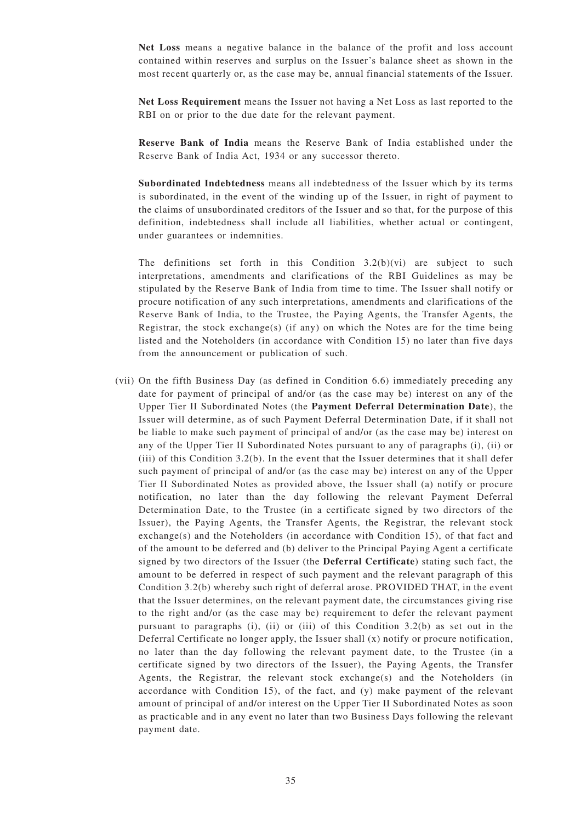**Net Loss** means a negative balance in the balance of the profit and loss account contained within reserves and surplus on the Issuer 's balance sheet as shown in the most recent quarterly or, as the case may be, annual financial statements of the Issuer.

**Net Loss Requirement** means the Issuer not having a Net Loss as last reported to the RBI on or prior to the due date for the relevant payment.

**Reserve Bank of India** means the Reserve Bank of India established under the Reserve Bank of India Act, 1934 or any successor thereto.

**Subordinated Indebtedness** means all indebtedness of the Issuer which by its terms is subordinated, in the event of the winding up of the Issuer, in right of payment to the claims of unsubordinated creditors of the Issuer and so that, for the purpose of this definition, indebtedness shall include all liabilities, whether actual or contingent, under guarantees or indemnities.

The definitions set forth in this Condition  $3.2(b)(vi)$  are subject to such interpretations, amendments and clarifications of the RBI Guidelines as may be stipulated by the Reserve Bank of India from time to time. The Issuer shall notify or procure notification of any such interpretations, amendments and clarifications of the Reserve Bank of India, to the Trustee, the Paying Agents, the Transfer Agents, the Registrar, the stock exchange(s) (if any) on which the Notes are for the time being listed and the Noteholders (in accordance with Condition 15) no later than five days from the announcement or publication of such.

(vii) On the fifth Business Day (as defined in Condition 6.6) immediately preceding any date for payment of principal of and/or (as the case may be) interest on any of the Upper Tier II Subordinated Notes (the **Payment Deferral Determination Date**), the Issuer will determine, as of such Payment Deferral Determination Date, if it shall not be liable to make such payment of principal of and/or (as the case may be) interest on any of the Upper Tier II Subordinated Notes pursuant to any of paragraphs (i), (ii) or (iii) of this Condition 3.2(b). In the event that the Issuer determines that it shall defer such payment of principal of and/or (as the case may be) interest on any of the Upper Tier II Subordinated Notes as provided above, the Issuer shall (a) notify or procure notification, no later than the day following the relevant Payment Deferral Determination Date, to the Trustee (in a certificate signed by two directors of the Issuer), the Paying Agents, the Transfer Agents, the Registrar, the relevant stock exchange(s) and the Noteholders (in accordance with Condition 15), of that fact and of the amount to be deferred and (b) deliver to the Principal Paying Agent a certificate signed by two directors of the Issuer (the **Deferral Certificate**) stating such fact, the amount to be deferred in respect of such payment and the relevant paragraph of this Condition 3.2(b) whereby such right of deferral arose. PROVIDED THAT, in the event that the Issuer determines, on the relevant payment date, the circumstances giving rise to the right and/or (as the case may be) requirement to defer the relevant payment pursuant to paragraphs (i), (ii) or (iii) of this Condition 3.2(b) as set out in the Deferral Certificate no longer apply, the Issuer shall (x) notify or procure notification, no later than the day following the relevant payment date, to the Trustee (in a certificate signed by two directors of the Issuer), the Paying Agents, the Transfer Agents, the Registrar, the relevant stock exchange(s) and the Noteholders (in accordance with Condition 15), of the fact, and (y) make payment of the relevant amount of principal of and/or interest on the Upper Tier II Subordinated Notes as soon as practicable and in any event no later than two Business Days following the relevant payment date.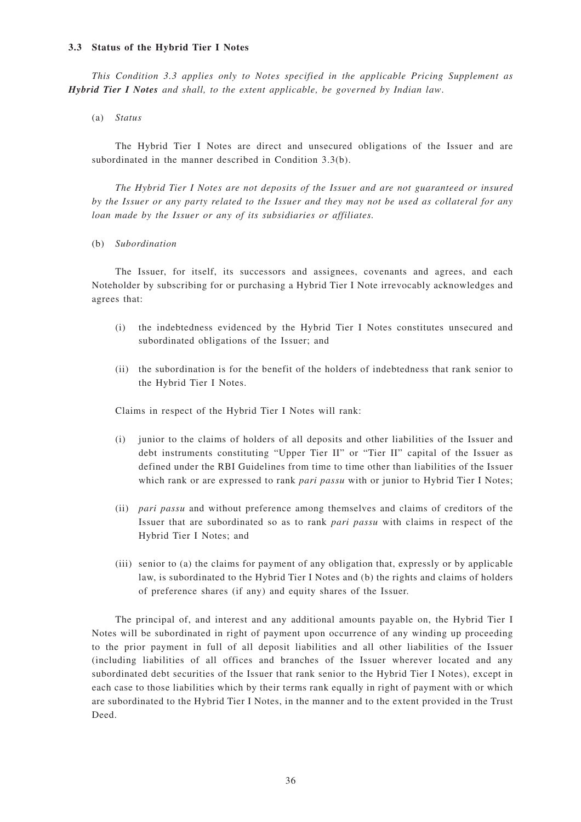#### **3.3 Status of the Hybrid Tier I Notes**

*This Condition 3.3 applies only to Notes specified in the applicable Pricing Supplement as Hybrid Tier I Notes and shall, to the extent applicable, be governed by Indian law*.

(a) *Status*

The Hybrid Tier I Notes are direct and unsecured obligations of the Issuer and are subordinated in the manner described in Condition 3.3(b).

*The Hybrid Tier I Notes are not deposits of the Issuer and are not guaranteed or insured by the Issuer or any party related to the Issuer and they may not be used as collateral for any loan made by the Issuer or any of its subsidiaries or affiliates.*

(b) *Subordination*

The Issuer, for itself, its successors and assignees, covenants and agrees, and each Noteholder by subscribing for or purchasing a Hybrid Tier I Note irrevocably acknowledges and agrees that:

- (i) the indebtedness evidenced by the Hybrid Tier I Notes constitutes unsecured and subordinated obligations of the Issuer; and
- (ii) the subordination is for the benefit of the holders of indebtedness that rank senior to the Hybrid Tier I Notes.

Claims in respect of the Hybrid Tier I Notes will rank:

- (i) junior to the claims of holders of all deposits and other liabilities of the Issuer and debt instruments constituting "Upper Tier II" or "Tier II" capital of the Issuer as defined under the RBI Guidelines from time to time other than liabilities of the Issuer which rank or are expressed to rank *pari passu* with or junior to Hybrid Tier I Notes;
- (ii) *pari passu* and without preference among themselves and claims of creditors of the Issuer that are subordinated so as to rank *pari passu* with claims in respect of the Hybrid Tier I Notes; and
- (iii) senior to (a) the claims for payment of any obligation that, expressly or by applicable law, is subordinated to the Hybrid Tier I Notes and (b) the rights and claims of holders of preference shares (if any) and equity shares of the Issuer.

The principal of, and interest and any additional amounts payable on, the Hybrid Tier I Notes will be subordinated in right of payment upon occurrence of any winding up proceeding to the prior payment in full of all deposit liabilities and all other liabilities of the Issuer (including liabilities of all offices and branches of the Issuer wherever located and any subordinated debt securities of the Issuer that rank senior to the Hybrid Tier I Notes), except in each case to those liabilities which by their terms rank equally in right of payment with or which are subordinated to the Hybrid Tier I Notes, in the manner and to the extent provided in the Trust Deed.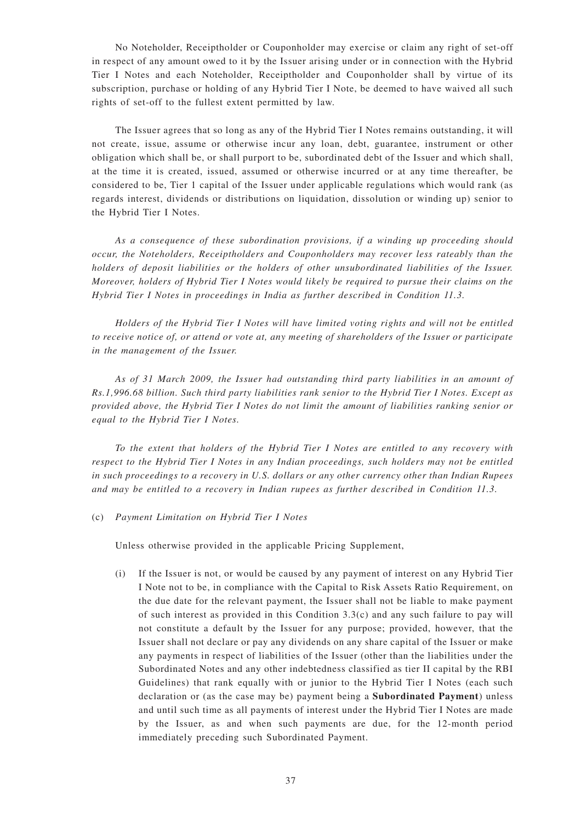No Noteholder, Receiptholder or Couponholder may exercise or claim any right of set-off in respect of any amount owed to it by the Issuer arising under or in connection with the Hybrid Tier I Notes and each Noteholder, Receiptholder and Couponholder shall by virtue of its subscription, purchase or holding of any Hybrid Tier I Note, be deemed to have waived all such rights of set-off to the fullest extent permitted by law.

The Issuer agrees that so long as any of the Hybrid Tier I Notes remains outstanding, it will not create, issue, assume or otherwise incur any loan, debt, guarantee, instrument or other obligation which shall be, or shall purport to be, subordinated debt of the Issuer and which shall, at the time it is created, issued, assumed or otherwise incurred or at any time thereafter, be considered to be, Tier 1 capital of the Issuer under applicable regulations which would rank (as regards interest, dividends or distributions on liquidation, dissolution or winding up) senior to the Hybrid Tier I Notes.

*As a consequence of these subordination provisions, if a winding up proceeding should occur, the Noteholders, Receiptholders and Couponholders may recover less rateably than the holders of deposit liabilities or the holders of other unsubordinated liabilities of the Issuer. Moreover, holders of Hybrid Tier I Notes would likely be required to pursue their claims on the Hybrid Tier I Notes in proceedings in India as further described in Condition 11.3.*

*Holders of the Hybrid Tier I Notes will have limited voting rights and will not be entitled to receive notice of, or attend or vote at, any meeting of shareholders of the Issuer or participate in the management of the Issuer.*

*As of 31 March 2009, the Issuer had outstanding third party liabilities in an amount of Rs.1,996.68 billion. Such third party liabilities rank senior to the Hybrid Tier I Notes. Except as provided above, the Hybrid Tier I Notes do not limit the amount of liabilities ranking senior or equal to the Hybrid Tier I Notes.*

*To the extent that holders of the Hybrid Tier I Notes are entitled to any recovery with respect to the Hybrid Tier I Notes in any Indian proceedings, such holders may not be entitled in such proceedings to a recovery in U.S. dollars or any other currency other than Indian Rupees and may be entitled to a recovery in Indian rupees as further described in Condition 11.3.*

(c) *Payment Limitation on Hybrid Tier I Notes*

Unless otherwise provided in the applicable Pricing Supplement,

(i) If the Issuer is not, or would be caused by any payment of interest on any Hybrid Tier I Note not to be, in compliance with the Capital to Risk Assets Ratio Requirement, on the due date for the relevant payment, the Issuer shall not be liable to make payment of such interest as provided in this Condition  $3.3(c)$  and any such failure to pay will not constitute a default by the Issuer for any purpose; provided, however, that the Issuer shall not declare or pay any dividends on any share capital of the Issuer or make any payments in respect of liabilities of the Issuer (other than the liabilities under the Subordinated Notes and any other indebtedness classified as tier II capital by the RBI Guidelines) that rank equally with or junior to the Hybrid Tier I Notes (each such declaration or (as the case may be) payment being a **Subordinated Payment**) unless and until such time as all payments of interest under the Hybrid Tier I Notes are made by the Issuer, as and when such payments are due, for the 12-month period immediately preceding such Subordinated Payment.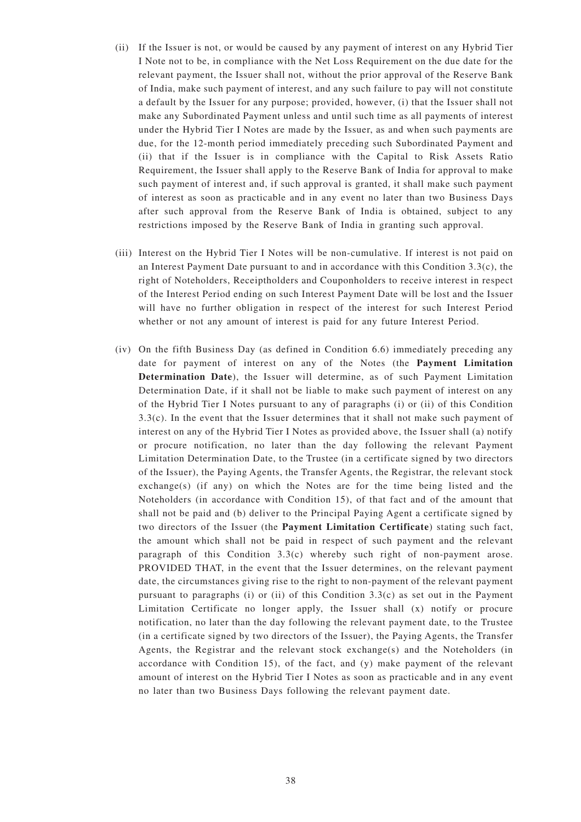- (ii) If the Issuer is not, or would be caused by any payment of interest on any Hybrid Tier I Note not to be, in compliance with the Net Loss Requirement on the due date for the relevant payment, the Issuer shall not, without the prior approval of the Reserve Bank of India, make such payment of interest, and any such failure to pay will not constitute a default by the Issuer for any purpose; provided, however, (i) that the Issuer shall not make any Subordinated Payment unless and until such time as all payments of interest under the Hybrid Tier I Notes are made by the Issuer, as and when such payments are due, for the 12-month period immediately preceding such Subordinated Payment and (ii) that if the Issuer is in compliance with the Capital to Risk Assets Ratio Requirement, the Issuer shall apply to the Reserve Bank of India for approval to make such payment of interest and, if such approval is granted, it shall make such payment of interest as soon as practicable and in any event no later than two Business Days after such approval from the Reserve Bank of India is obtained, subject to any restrictions imposed by the Reserve Bank of India in granting such approval.
- (iii) Interest on the Hybrid Tier I Notes will be non-cumulative. If interest is not paid on an Interest Payment Date pursuant to and in accordance with this Condition 3.3(c), the right of Noteholders, Receiptholders and Couponholders to receive interest in respect of the Interest Period ending on such Interest Payment Date will be lost and the Issuer will have no further obligation in respect of the interest for such Interest Period whether or not any amount of interest is paid for any future Interest Period.
- (iv) On the fifth Business Day (as defined in Condition 6.6) immediately preceding any date for payment of interest on any of the Notes (the **Payment Limitation Determination Date**), the Issuer will determine, as of such Payment Limitation Determination Date, if it shall not be liable to make such payment of interest on any of the Hybrid Tier I Notes pursuant to any of paragraphs (i) or (ii) of this Condition 3.3(c). In the event that the Issuer determines that it shall not make such payment of interest on any of the Hybrid Tier I Notes as provided above, the Issuer shall (a) notify or procure notification, no later than the day following the relevant Payment Limitation Determination Date, to the Trustee (in a certificate signed by two directors of the Issuer), the Paying Agents, the Transfer Agents, the Registrar, the relevant stock exchange(s) (if any) on which the Notes are for the time being listed and the Noteholders (in accordance with Condition 15), of that fact and of the amount that shall not be paid and (b) deliver to the Principal Paying Agent a certificate signed by two directors of the Issuer (the **Payment Limitation Certificate**) stating such fact, the amount which shall not be paid in respect of such payment and the relevant paragraph of this Condition 3.3(c) whereby such right of non-payment arose. PROVIDED THAT, in the event that the Issuer determines, on the relevant payment date, the circumstances giving rise to the right to non-payment of the relevant payment pursuant to paragraphs (i) or (ii) of this Condition 3.3(c) as set out in the Payment Limitation Certificate no longer apply, the Issuer shall (x) notify or procure notification, no later than the day following the relevant payment date, to the Trustee (in a certificate signed by two directors of the Issuer), the Paying Agents, the Transfer Agents, the Registrar and the relevant stock exchange(s) and the Noteholders (in accordance with Condition 15), of the fact, and (y) make payment of the relevant amount of interest on the Hybrid Tier I Notes as soon as practicable and in any event no later than two Business Days following the relevant payment date.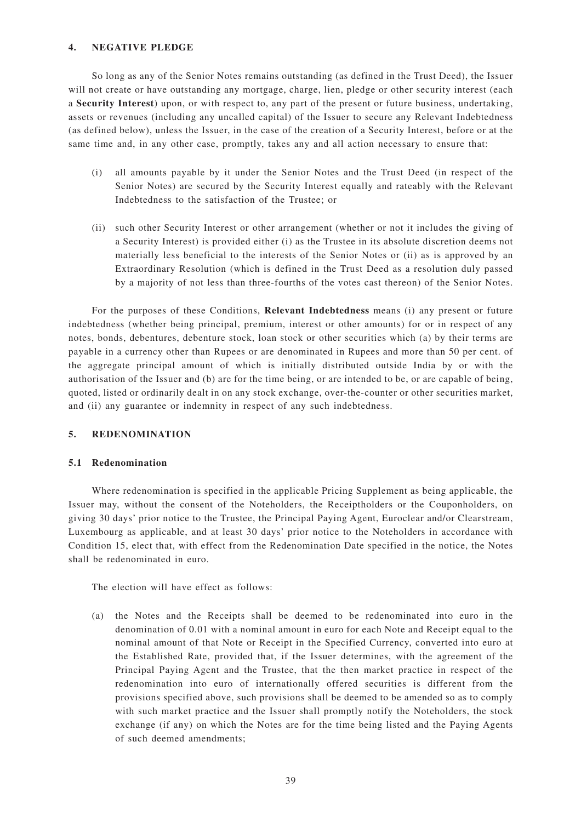## **4. NEGATIVE PLEDGE**

So long as any of the Senior Notes remains outstanding (as defined in the Trust Deed), the Issuer will not create or have outstanding any mortgage, charge, lien, pledge or other security interest (each a **Security Interest**) upon, or with respect to, any part of the present or future business, undertaking, assets or revenues (including any uncalled capital) of the Issuer to secure any Relevant Indebtedness (as defined below), unless the Issuer, in the case of the creation of a Security Interest, before or at the same time and, in any other case, promptly, takes any and all action necessary to ensure that:

- (i) all amounts payable by it under the Senior Notes and the Trust Deed (in respect of the Senior Notes) are secured by the Security Interest equally and rateably with the Relevant Indebtedness to the satisfaction of the Trustee; or
- (ii) such other Security Interest or other arrangement (whether or not it includes the giving of a Security Interest) is provided either (i) as the Trustee in its absolute discretion deems not materially less beneficial to the interests of the Senior Notes or (ii) as is approved by an Extraordinary Resolution (which is defined in the Trust Deed as a resolution duly passed by a majority of not less than three-fourths of the votes cast thereon) of the Senior Notes.

For the purposes of these Conditions, **Relevant Indebtedness** means (i) any present or future indebtedness (whether being principal, premium, interest or other amounts) for or in respect of any notes, bonds, debentures, debenture stock, loan stock or other securities which (a) by their terms are payable in a currency other than Rupees or are denominated in Rupees and more than 50 per cent. of the aggregate principal amount of which is initially distributed outside India by or with the authorisation of the Issuer and (b) are for the time being, or are intended to be, or are capable of being, quoted, listed or ordinarily dealt in on any stock exchange, over-the-counter or other securities market, and (ii) any guarantee or indemnity in respect of any such indebtedness.

### **5. REDENOMINATION**

#### **5.1 Redenomination**

Where redenomination is specified in the applicable Pricing Supplement as being applicable, the Issuer may, without the consent of the Noteholders, the Receiptholders or the Couponholders, on giving 30 days' prior notice to the Trustee, the Principal Paying Agent, Euroclear and/or Clearstream, Luxembourg as applicable, and at least 30 days' prior notice to the Noteholders in accordance with Condition 15, elect that, with effect from the Redenomination Date specified in the notice, the Notes shall be redenominated in euro.

The election will have effect as follows:

(a) the Notes and the Receipts shall be deemed to be redenominated into euro in the denomination of 0.01 with a nominal amount in euro for each Note and Receipt equal to the nominal amount of that Note or Receipt in the Specified Currency, converted into euro at the Established Rate, provided that, if the Issuer determines, with the agreement of the Principal Paying Agent and the Trustee, that the then market practice in respect of the redenomination into euro of internationally offered securities is different from the provisions specified above, such provisions shall be deemed to be amended so as to comply with such market practice and the Issuer shall promptly notify the Noteholders, the stock exchange (if any) on which the Notes are for the time being listed and the Paying Agents of such deemed amendments;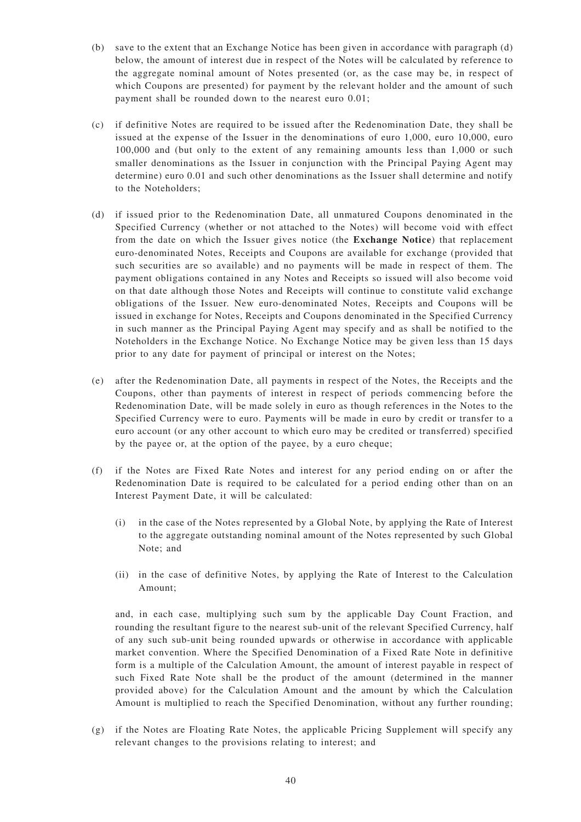- (b) save to the extent that an Exchange Notice has been given in accordance with paragraph (d) below, the amount of interest due in respect of the Notes will be calculated by reference to the aggregate nominal amount of Notes presented (or, as the case may be, in respect of which Coupons are presented) for payment by the relevant holder and the amount of such payment shall be rounded down to the nearest euro 0.01;
- (c) if definitive Notes are required to be issued after the Redenomination Date, they shall be issued at the expense of the Issuer in the denominations of euro 1,000, euro 10,000, euro 100,000 and (but only to the extent of any remaining amounts less than 1,000 or such smaller denominations as the Issuer in conjunction with the Principal Paying Agent may determine) euro 0.01 and such other denominations as the Issuer shall determine and notify to the Noteholders;
- (d) if issued prior to the Redenomination Date, all unmatured Coupons denominated in the Specified Currency (whether or not attached to the Notes) will become void with effect from the date on which the Issuer gives notice (the **Exchange Notice**) that replacement euro-denominated Notes, Receipts and Coupons are available for exchange (provided that such securities are so available) and no payments will be made in respect of them. The payment obligations contained in any Notes and Receipts so issued will also become void on that date although those Notes and Receipts will continue to constitute valid exchange obligations of the Issuer. New euro-denominated Notes, Receipts and Coupons will be issued in exchange for Notes, Receipts and Coupons denominated in the Specified Currency in such manner as the Principal Paying Agent may specify and as shall be notified to the Noteholders in the Exchange Notice. No Exchange Notice may be given less than 15 days prior to any date for payment of principal or interest on the Notes;
- (e) after the Redenomination Date, all payments in respect of the Notes, the Receipts and the Coupons, other than payments of interest in respect of periods commencing before the Redenomination Date, will be made solely in euro as though references in the Notes to the Specified Currency were to euro. Payments will be made in euro by credit or transfer to a euro account (or any other account to which euro may be credited or transferred) specified by the payee or, at the option of the payee, by a euro cheque;
- (f) if the Notes are Fixed Rate Notes and interest for any period ending on or after the Redenomination Date is required to be calculated for a period ending other than on an Interest Payment Date, it will be calculated:
	- (i) in the case of the Notes represented by a Global Note, by applying the Rate of Interest to the aggregate outstanding nominal amount of the Notes represented by such Global Note; and
	- (ii) in the case of definitive Notes, by applying the Rate of Interest to the Calculation Amount;

and, in each case, multiplying such sum by the applicable Day Count Fraction, and rounding the resultant figure to the nearest sub-unit of the relevant Specified Currency, half of any such sub-unit being rounded upwards or otherwise in accordance with applicable market convention. Where the Specified Denomination of a Fixed Rate Note in definitive form is a multiple of the Calculation Amount, the amount of interest payable in respect of such Fixed Rate Note shall be the product of the amount (determined in the manner provided above) for the Calculation Amount and the amount by which the Calculation Amount is multiplied to reach the Specified Denomination, without any further rounding;

(g) if the Notes are Floating Rate Notes, the applicable Pricing Supplement will specify any relevant changes to the provisions relating to interest; and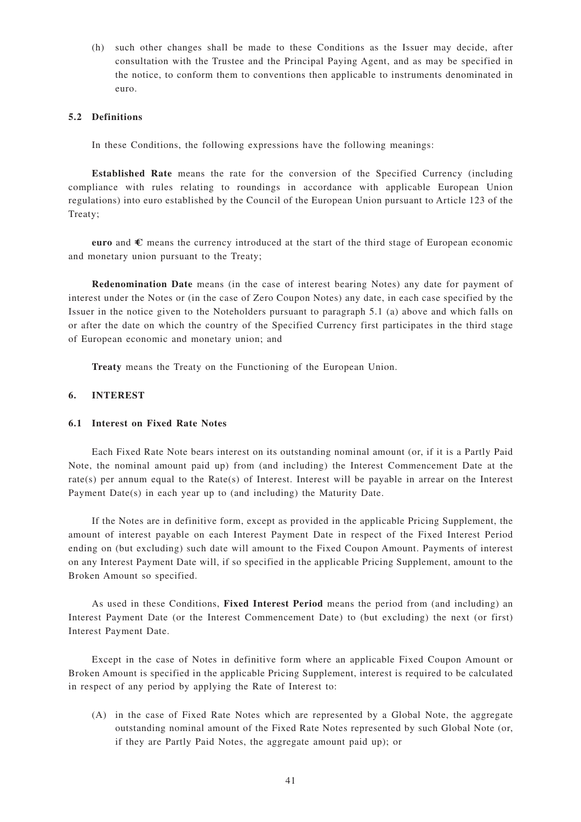(h) such other changes shall be made to these Conditions as the Issuer may decide, after consultation with the Trustee and the Principal Paying Agent, and as may be specified in the notice, to conform them to conventions then applicable to instruments denominated in euro.

### **5.2 Definitions**

In these Conditions, the following expressions have the following meanings:

**Established Rate** means the rate for the conversion of the Specified Currency (including compliance with rules relating to roundings in accordance with applicable European Union regulations) into euro established by the Council of the European Union pursuant to Article 123 of the Treaty;

**euro** and  $\epsilon$  means the currency introduced at the start of the third stage of European economic and monetary union pursuant to the Treaty;

**Redenomination Date** means (in the case of interest bearing Notes) any date for payment of interest under the Notes or (in the case of Zero Coupon Notes) any date, in each case specified by the Issuer in the notice given to the Noteholders pursuant to paragraph 5.1 (a) above and which falls on or after the date on which the country of the Specified Currency first participates in the third stage of European economic and monetary union; and

**Treaty** means the Treaty on the Functioning of the European Union.

#### **6. INTEREST**

### **6.1 Interest on Fixed Rate Notes**

Each Fixed Rate Note bears interest on its outstanding nominal amount (or, if it is a Partly Paid Note, the nominal amount paid up) from (and including) the Interest Commencement Date at the rate(s) per annum equal to the Rate(s) of Interest. Interest will be payable in arrear on the Interest Payment Date(s) in each year up to (and including) the Maturity Date.

If the Notes are in definitive form, except as provided in the applicable Pricing Supplement, the amount of interest payable on each Interest Payment Date in respect of the Fixed Interest Period ending on (but excluding) such date will amount to the Fixed Coupon Amount. Payments of interest on any Interest Payment Date will, if so specified in the applicable Pricing Supplement, amount to the Broken Amount so specified.

As used in these Conditions, **Fixed Interest Period** means the period from (and including) an Interest Payment Date (or the Interest Commencement Date) to (but excluding) the next (or first) Interest Payment Date.

Except in the case of Notes in definitive form where an applicable Fixed Coupon Amount or Broken Amount is specified in the applicable Pricing Supplement, interest is required to be calculated in respect of any period by applying the Rate of Interest to:

(A) in the case of Fixed Rate Notes which are represented by a Global Note, the aggregate outstanding nominal amount of the Fixed Rate Notes represented by such Global Note (or, if they are Partly Paid Notes, the aggregate amount paid up); or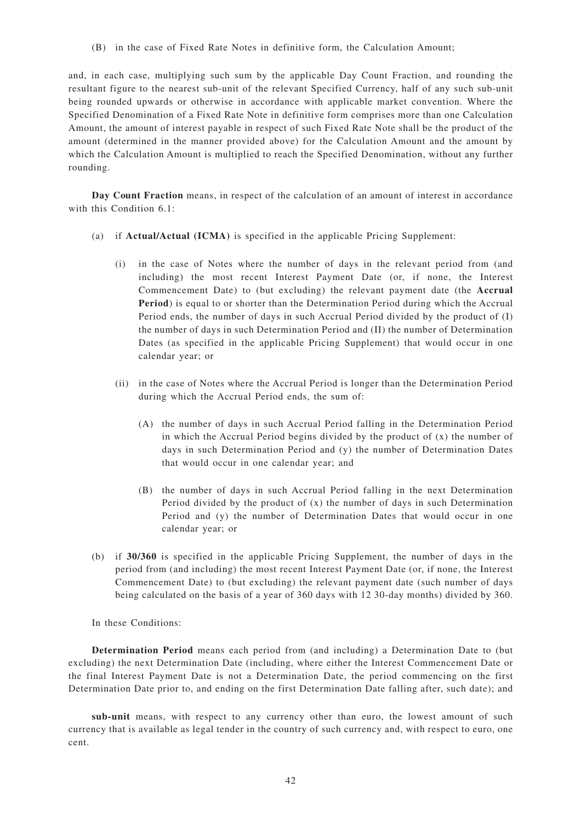(B) in the case of Fixed Rate Notes in definitive form, the Calculation Amount;

and, in each case, multiplying such sum by the applicable Day Count Fraction, and rounding the resultant figure to the nearest sub-unit of the relevant Specified Currency, half of any such sub-unit being rounded upwards or otherwise in accordance with applicable market convention. Where the Specified Denomination of a Fixed Rate Note in definitive form comprises more than one Calculation Amount, the amount of interest payable in respect of such Fixed Rate Note shall be the product of the amount (determined in the manner provided above) for the Calculation Amount and the amount by which the Calculation Amount is multiplied to reach the Specified Denomination, without any further rounding.

**Day Count Fraction** means, in respect of the calculation of an amount of interest in accordance with this Condition 6.1:

- (a) if **Actual/Actual (ICMA)** is specified in the applicable Pricing Supplement:
	- (i) in the case of Notes where the number of days in the relevant period from (and including) the most recent Interest Payment Date (or, if none, the Interest Commencement Date) to (but excluding) the relevant payment date (the **Accrual Period**) is equal to or shorter than the Determination Period during which the Accrual Period ends, the number of days in such Accrual Period divided by the product of (I) the number of days in such Determination Period and (II) the number of Determination Dates (as specified in the applicable Pricing Supplement) that would occur in one calendar year; or
	- (ii) in the case of Notes where the Accrual Period is longer than the Determination Period during which the Accrual Period ends, the sum of:
		- (A) the number of days in such Accrual Period falling in the Determination Period in which the Accrual Period begins divided by the product of (x) the number of days in such Determination Period and (y) the number of Determination Dates that would occur in one calendar year; and
		- (B) the number of days in such Accrual Period falling in the next Determination Period divided by the product of  $(x)$  the number of days in such Determination Period and (y) the number of Determination Dates that would occur in one calendar year; or
- (b) if **30/360** is specified in the applicable Pricing Supplement, the number of days in the period from (and including) the most recent Interest Payment Date (or, if none, the Interest Commencement Date) to (but excluding) the relevant payment date (such number of days being calculated on the basis of a year of 360 days with 12 30-day months) divided by 360.

In these Conditions:

**Determination Period** means each period from (and including) a Determination Date to (but excluding) the next Determination Date (including, where either the Interest Commencement Date or the final Interest Payment Date is not a Determination Date, the period commencing on the first Determination Date prior to, and ending on the first Determination Date falling after, such date); and

**sub-unit** means, with respect to any currency other than euro, the lowest amount of such currency that is available as legal tender in the country of such currency and, with respect to euro, one cent.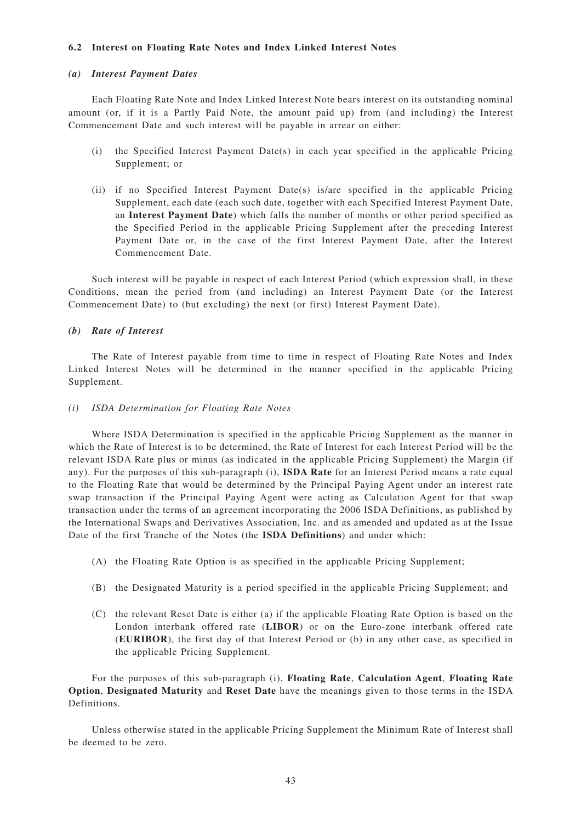### **6.2 Interest on Floating Rate Notes and Index Linked Interest Notes**

#### *(a) Interest Payment Dates*

Each Floating Rate Note and Index Linked Interest Note bears interest on its outstanding nominal amount (or, if it is a Partly Paid Note, the amount paid up) from (and including) the Interest Commencement Date and such interest will be payable in arrear on either:

- (i) the Specified Interest Payment Date(s) in each year specified in the applicable Pricing Supplement; or
- (ii) if no Specified Interest Payment Date(s) is/are specified in the applicable Pricing Supplement, each date (each such date, together with each Specified Interest Payment Date, an **Interest Payment Date**) which falls the number of months or other period specified as the Specified Period in the applicable Pricing Supplement after the preceding Interest Payment Date or, in the case of the first Interest Payment Date, after the Interest Commencement Date.

Such interest will be payable in respect of each Interest Period (which expression shall, in these Conditions, mean the period from (and including) an Interest Payment Date (or the Interest Commencement Date) to (but excluding) the next (or first) Interest Payment Date).

#### *(b) Rate of Interest*

The Rate of Interest payable from time to time in respect of Floating Rate Notes and Index Linked Interest Notes will be determined in the manner specified in the applicable Pricing Supplement.

#### *(i) ISDA Determination for Floating Rate Notes*

Where ISDA Determination is specified in the applicable Pricing Supplement as the manner in which the Rate of Interest is to be determined, the Rate of Interest for each Interest Period will be the relevant ISDA Rate plus or minus (as indicated in the applicable Pricing Supplement) the Margin (if any). For the purposes of this sub-paragraph (i), **ISDA Rate** for an Interest Period means a rate equal to the Floating Rate that would be determined by the Principal Paying Agent under an interest rate swap transaction if the Principal Paying Agent were acting as Calculation Agent for that swap transaction under the terms of an agreement incorporating the 2006 ISDA Definitions, as published by the International Swaps and Derivatives Association, Inc. and as amended and updated as at the Issue Date of the first Tranche of the Notes (the **ISDA Definitions**) and under which:

- (A) the Floating Rate Option is as specified in the applicable Pricing Supplement;
- (B) the Designated Maturity is a period specified in the applicable Pricing Supplement; and
- (C) the relevant Reset Date is either (a) if the applicable Floating Rate Option is based on the London interbank offered rate (**LIBOR**) or on the Euro-zone interbank offered rate (**EURIBOR**), the first day of that Interest Period or (b) in any other case, as specified in the applicable Pricing Supplement.

For the purposes of this sub-paragraph (i), **Floating Rate**, **Calculation Agent**, **Floating Rate Option**, **Designated Maturity** and **Reset Date** have the meanings given to those terms in the ISDA Definitions.

Unless otherwise stated in the applicable Pricing Supplement the Minimum Rate of Interest shall be deemed to be zero.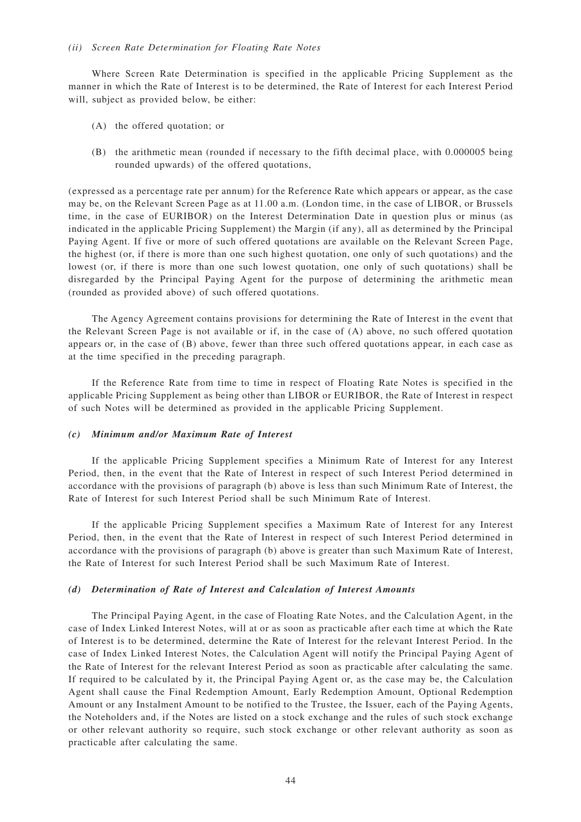#### *(ii) Screen Rate Determination for Floating Rate Notes*

Where Screen Rate Determination is specified in the applicable Pricing Supplement as the manner in which the Rate of Interest is to be determined, the Rate of Interest for each Interest Period will, subject as provided below, be either:

- (A) the offered quotation; or
- (B) the arithmetic mean (rounded if necessary to the fifth decimal place, with 0.000005 being rounded upwards) of the offered quotations,

(expressed as a percentage rate per annum) for the Reference Rate which appears or appear, as the case may be, on the Relevant Screen Page as at 11.00 a.m. (London time, in the case of LIBOR, or Brussels time, in the case of EURIBOR) on the Interest Determination Date in question plus or minus (as indicated in the applicable Pricing Supplement) the Margin (if any), all as determined by the Principal Paying Agent. If five or more of such offered quotations are available on the Relevant Screen Page, the highest (or, if there is more than one such highest quotation, one only of such quotations) and the lowest (or, if there is more than one such lowest quotation, one only of such quotations) shall be disregarded by the Principal Paying Agent for the purpose of determining the arithmetic mean (rounded as provided above) of such offered quotations.

The Agency Agreement contains provisions for determining the Rate of Interest in the event that the Relevant Screen Page is not available or if, in the case of (A) above, no such offered quotation appears or, in the case of (B) above, fewer than three such offered quotations appear, in each case as at the time specified in the preceding paragraph.

If the Reference Rate from time to time in respect of Floating Rate Notes is specified in the applicable Pricing Supplement as being other than LIBOR or EURIBOR, the Rate of Interest in respect of such Notes will be determined as provided in the applicable Pricing Supplement.

#### *(c) Minimum and/or Maximum Rate of Interest*

If the applicable Pricing Supplement specifies a Minimum Rate of Interest for any Interest Period, then, in the event that the Rate of Interest in respect of such Interest Period determined in accordance with the provisions of paragraph (b) above is less than such Minimum Rate of Interest, the Rate of Interest for such Interest Period shall be such Minimum Rate of Interest.

If the applicable Pricing Supplement specifies a Maximum Rate of Interest for any Interest Period, then, in the event that the Rate of Interest in respect of such Interest Period determined in accordance with the provisions of paragraph (b) above is greater than such Maximum Rate of Interest, the Rate of Interest for such Interest Period shall be such Maximum Rate of Interest.

#### *(d) Determination of Rate of Interest and Calculation of Interest Amounts*

The Principal Paying Agent, in the case of Floating Rate Notes, and the Calculation Agent, in the case of Index Linked Interest Notes, will at or as soon as practicable after each time at which the Rate of Interest is to be determined, determine the Rate of Interest for the relevant Interest Period. In the case of Index Linked Interest Notes, the Calculation Agent will notify the Principal Paying Agent of the Rate of Interest for the relevant Interest Period as soon as practicable after calculating the same. If required to be calculated by it, the Principal Paying Agent or, as the case may be, the Calculation Agent shall cause the Final Redemption Amount, Early Redemption Amount, Optional Redemption Amount or any Instalment Amount to be notified to the Trustee, the Issuer, each of the Paying Agents, the Noteholders and, if the Notes are listed on a stock exchange and the rules of such stock exchange or other relevant authority so require, such stock exchange or other relevant authority as soon as practicable after calculating the same.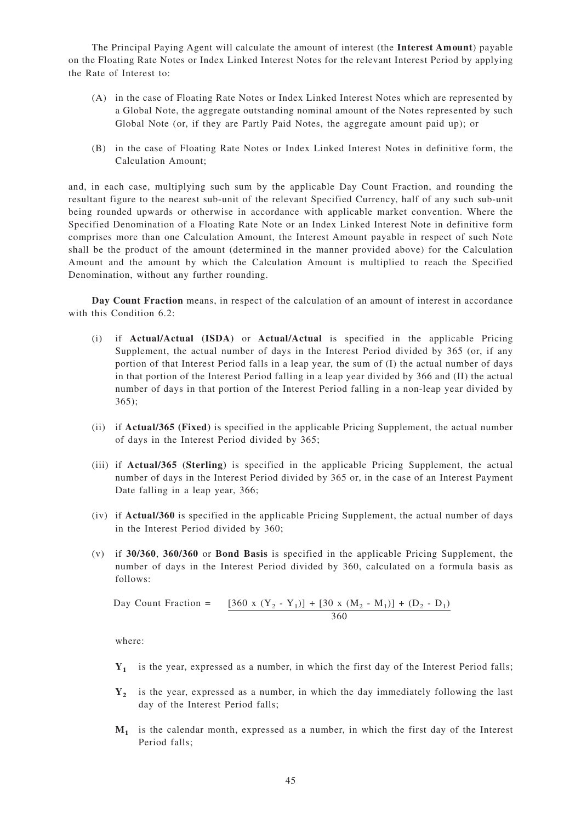The Principal Paying Agent will calculate the amount of interest (the **Interest Am ount**) payable on the Floating Rate Notes or Index Linked Interest Notes for the relevant Interest Period by applying the Rate of Interest to:

- (A) in the case of Floating Rate Notes or Index Linked Interest Notes which are represented by a Global Note, the aggregate outstanding nominal amount of the Notes represented by such Global Note (or, if they are Partly Paid Notes, the aggregate amount paid up); or
- (B) in the case of Floating Rate Notes or Index Linked Interest Notes in definitive form, the Calculation Amount;

and, in each case, multiplying such sum by the applicable Day Count Fraction, and rounding the resultant figure to the nearest sub-unit of the relevant Specified Currency, half of any such sub-unit being rounded upwards or otherwise in accordance with applicable market convention. Where the Specified Denomination of a Floating Rate Note or an Index Linked Interest Note in definitive form comprises more than one Calculation Amount, the Interest Amount payable in respect of such Note shall be the product of the amount (determined in the manner provided above) for the Calculation Amount and the amount by which the Calculation Amount is multiplied to reach the Specified Denomination, without any further rounding.

**Day Count Fraction** means, in respect of the calculation of an amount of interest in accordance with this Condition 6.2:

- (i) if **Actual/Actual (ISDA)** or **Actual/Actual** is specified in the applicable Pricing Supplement, the actual number of days in the Interest Period divided by 365 (or, if any portion of that Interest Period falls in a leap year, the sum of (I) the actual number of days in that portion of the Interest Period falling in a leap year divided by 366 and (II) the actual number of days in that portion of the Interest Period falling in a non-leap year divided by 365);
- (ii) if **Actual/365 (Fixed)** is specified in the applicable Pricing Supplement, the actual number of days in the Interest Period divided by 365;
- (iii) if **Actual/365 (Sterling)** is specified in the applicable Pricing Supplement, the actual number of days in the Interest Period divided by 365 or, in the case of an Interest Payment Date falling in a leap year, 366;
- (iv) if **Actual/360** is specified in the applicable Pricing Supplement, the actual number of days in the Interest Period divided by 360;
- (v) if **30/360**, **360/360** or **Bond Basis** is specified in the applicable Pricing Supplement, the number of days in the Interest Period divided by 360, calculated on a formula basis as follows:

Day Count Fraction =  $[360 \times (Y_2 - Y_1)] + [30 \times (M_2 - M_1)] + (D_2 - D_1)$ 360

where:

- **Y1** is the year, expressed as a number, in which the first day of the Interest Period falls;
- **Y2** is the year, expressed as a number, in which the day immediately following the last day of the Interest Period falls;
- **M1** is the calendar month, expressed as a number, in which the first day of the Interest Period falls;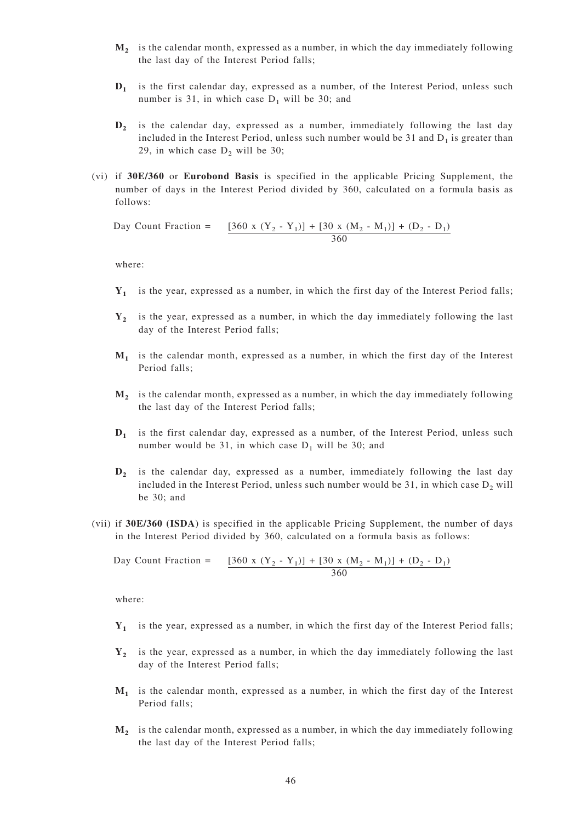- **M2** is the calendar month, expressed as a number, in which the day immediately following the last day of the Interest Period falls;
- **D1** is the first calendar day, expressed as a number, of the Interest Period, unless such number is 31, in which case  $D_1$  will be 30; and
- **D2** is the calendar day, expressed as a number, immediately following the last day included in the Interest Period, unless such number would be 31 and  $D_1$  is greater than 29, in which case  $D_2$  will be 30;
- (vi) if **30E/360** or **Eurobond Basis** is specified in the applicable Pricing Supplement, the number of days in the Interest Period divided by 360, calculated on a formula basis as follows:

Day Count Fraction =  $[360 \times (Y_2 - Y_1)] + [30 \times (M_2 - M_1)] + (D_2 - D_1)$ 360

where:

- **Y1** is the year, expressed as a number, in which the first day of the Interest Period falls;
- **Y2** is the year, expressed as a number, in which the day immediately following the last day of the Interest Period falls;
- **M1** is the calendar month, expressed as a number, in which the first day of the Interest Period falls;
- **M2** is the calendar month, expressed as a number, in which the day immediately following the last day of the Interest Period falls;
- **D1** is the first calendar day, expressed as a number, of the Interest Period, unless such number would be 31, in which case  $D_1$  will be 30; and
- **D2** is the calendar day, expressed as a number, immediately following the last day included in the Interest Period, unless such number would be 31, in which case  $D_2$  will be 30; and
- (vii) if **30E/360 (ISDA)** is specified in the applicable Pricing Supplement, the number of days in the Interest Period divided by 360, calculated on a formula basis as follows:

Day Count Fraction = 
$$
\frac{[360 \times (Y_2 - Y_1)] + [30 \times (M_2 - M_1)] + (D_2 - D_1)}{360}
$$

where:

- **Y1** is the year, expressed as a number, in which the first day of the Interest Period falls;
- **Y2** is the year, expressed as a number, in which the day immediately following the last day of the Interest Period falls;
- **M1** is the calendar month, expressed as a number, in which the first day of the Interest Period falls;
- **M2** is the calendar month, expressed as a number, in which the day immediately following the last day of the Interest Period falls;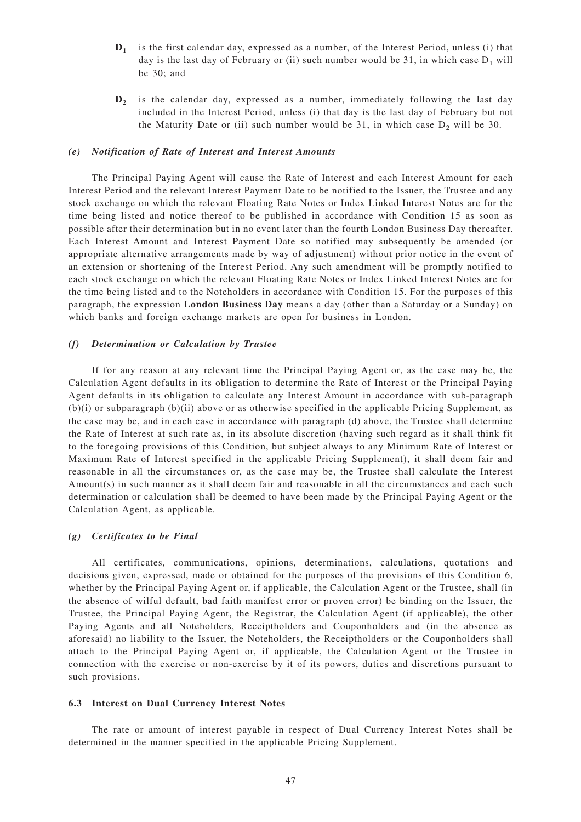- **D1** is the first calendar day, expressed as a number, of the Interest Period, unless (i) that day is the last day of February or (ii) such number would be 31, in which case  $D_1$  will be 30; and
- **D2** is the calendar day, expressed as a number, immediately following the last day included in the Interest Period, unless (i) that day is the last day of February but not the Maturity Date or (ii) such number would be 31, in which case  $D_2$  will be 30.

#### *(e) Notification of Rate of Interest and Interest Amounts*

The Principal Paying Agent will cause the Rate of Interest and each Interest Amount for each Interest Period and the relevant Interest Payment Date to be notified to the Issuer, the Trustee and any stock exchange on which the relevant Floating Rate Notes or Index Linked Interest Notes are for the time being listed and notice thereof to be published in accordance with Condition 15 as soon as possible after their determination but in no event later than the fourth London Business Day thereafter. Each Interest Amount and Interest Payment Date so notified may subsequently be amended (or appropriate alternative arrangements made by way of adjustment) without prior notice in the event of an extension or shortening of the Interest Period. Any such amendment will be promptly notified to each stock exchange on which the relevant Floating Rate Notes or Index Linked Interest Notes are for the time being listed and to the Noteholders in accordance with Condition 15. For the purposes of this paragraph, the expression **London Business Day** means a day (other than a Saturday or a Sunday) on which banks and foreign exchange markets are open for business in London.

#### *(f) Determination or Calculation by Trustee*

If for any reason at any relevant time the Principal Paying Agent or, as the case may be, the Calculation Agent defaults in its obligation to determine the Rate of Interest or the Principal Paying Agent defaults in its obligation to calculate any Interest Amount in accordance with sub-paragraph  $(b)(i)$  or subparagraph  $(b)(ii)$  above or as otherwise specified in the applicable Pricing Supplement, as the case may be, and in each case in accordance with paragraph (d) above, the Trustee shall determine the Rate of Interest at such rate as, in its absolute discretion (having such regard as it shall think fit to the foregoing provisions of this Condition, but subject always to any Minimum Rate of Interest or Maximum Rate of Interest specified in the applicable Pricing Supplement), it shall deem fair and reasonable in all the circumstances or, as the case may be, the Trustee shall calculate the Interest Amount(s) in such manner as it shall deem fair and reasonable in all the circumstances and each such determination or calculation shall be deemed to have been made by the Principal Paying Agent or the Calculation Agent, as applicable.

#### *(g) Certificates to be Final*

All certificates, communications, opinions, determinations, calculations, quotations and decisions given, expressed, made or obtained for the purposes of the provisions of this Condition 6, whether by the Principal Paying Agent or, if applicable, the Calculation Agent or the Trustee, shall (in the absence of wilful default, bad faith manifest error or proven error) be binding on the Issuer, the Trustee, the Principal Paying Agent, the Registrar, the Calculation Agent (if applicable), the other Paying Agents and all Noteholders, Receiptholders and Couponholders and (in the absence as aforesaid) no liability to the Issuer, the Noteholders, the Receiptholders or the Couponholders shall attach to the Principal Paying Agent or, if applicable, the Calculation Agent or the Trustee in connection with the exercise or non-exercise by it of its powers, duties and discretions pursuant to such provisions.

#### **6.3 Interest on Dual Currency Interest Notes**

The rate or amount of interest payable in respect of Dual Currency Interest Notes shall be determined in the manner specified in the applicable Pricing Supplement.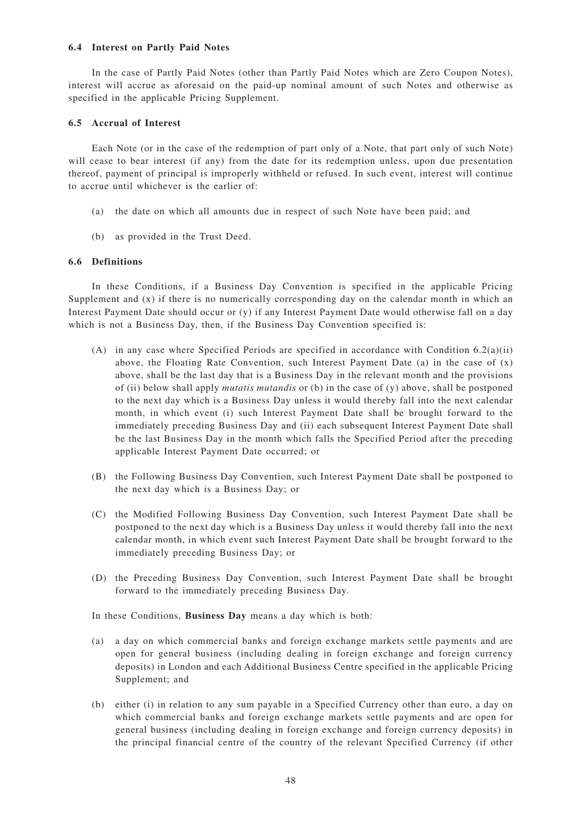## **6.4 Interest on Partly Paid Notes**

In the case of Partly Paid Notes (other than Partly Paid Notes which are Zero Coupon Notes), interest will accrue as aforesaid on the paid-up nominal amount of such Notes and otherwise as specified in the applicable Pricing Supplement.

### **6.5 Accrual of Interest**

Each Note (or in the case of the redemption of part only of a Note, that part only of such Note) will cease to bear interest (if any) from the date for its redemption unless, upon due presentation thereof, payment of principal is improperly withheld or refused. In such event, interest will continue to accrue until whichever is the earlier of:

- (a) the date on which all amounts due in respect of such Note have been paid; and
- (b) as provided in the Trust Deed.

#### **6.6 Definitions**

In these Conditions, if a Business Day Convention is specified in the applicable Pricing Supplement and  $(x)$  if there is no numerically corresponding day on the calendar month in which an Interest Payment Date should occur or (y) if any Interest Payment Date would otherwise fall on a day which is not a Business Day, then, if the Business Day Convention specified is:

- (A) in any case where Specified Periods are specified in accordance with Condition  $6.2(a)(ii)$ above, the Floating Rate Convention, such Interest Payment Date (a) in the case of  $(x)$ above, shall be the last day that is a Business Day in the relevant month and the provisions of (ii) below shall apply *mutatis mutandis* or (b) in the case of (y) above, shall be postponed to the next day which is a Business Day unless it would thereby fall into the next calendar month, in which event (i) such Interest Payment Date shall be brought forward to the immediately preceding Business Day and (ii) each subsequent Interest Payment Date shall be the last Business Day in the month which falls the Specified Period after the preceding applicable Interest Payment Date occurred; or
- (B) the Following Business Day Convention, such Interest Payment Date shall be postponed to the next day which is a Business Day; or
- (C) the Modified Following Business Day Convention, such Interest Payment Date shall be postponed to the next day which is a Business Day unless it would thereby fall into the next calendar month, in which event such Interest Payment Date shall be brought forward to the immediately preceding Business Day; or
- (D) the Preceding Business Day Convention, such Interest Payment Date shall be brought forward to the immediately preceding Business Day.

In these Conditions, **Business Day** means a day which is both:

- (a) a day on which commercial banks and foreign exchange markets settle payments and are open for general business (including dealing in foreign exchange and foreign currency deposits) in London and each Additional Business Centre specified in the applicable Pricing Supplement; and
- (b) either (i) in relation to any sum payable in a Specified Currency other than euro, a day on which commercial banks and foreign exchange markets settle payments and are open for general business (including dealing in foreign exchange and foreign currency deposits) in the principal financial centre of the country of the relevant Specified Currency (if other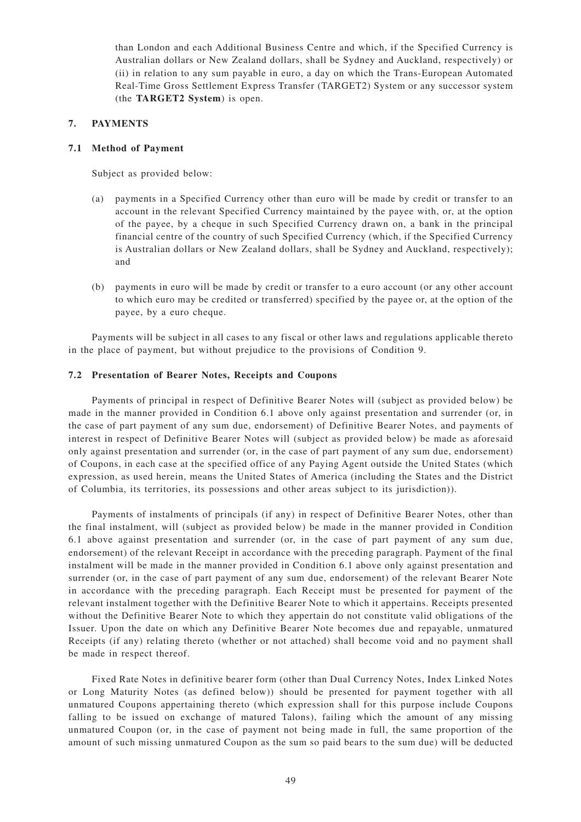than London and each Additional Business Centre and which, if the Specified Currency is Australian dollars or New Zealand dollars, shall be Sydney and Auckland, respectively) or (ii) in relation to any sum payable in euro, a day on which the Trans-European Automated Real-Time Gross Settlement Express Transfer (TARGET2) System or any successor system (the **TARGET2 System**) is open.

# **7. PAYMENTS**

## **7.1 Method of Payment**

Subject as provided below:

- (a) payments in a Specified Currency other than euro will be made by credit or transfer to an account in the relevant Specified Currency maintained by the payee with, or, at the option of the payee, by a cheque in such Specified Currency drawn on, a bank in the principal financial centre of the country of such Specified Currency (which, if the Specified Currency is Australian dollars or New Zealand dollars, shall be Sydney and Auckland, respectively); and
- (b) payments in euro will be made by credit or transfer to a euro account (or any other account to which euro may be credited or transferred) specified by the payee or, at the option of the payee, by a euro cheque.

Payments will be subject in all cases to any fiscal or other laws and regulations applicable thereto in the place of payment, but without prejudice to the provisions of Condition 9.

## **7.2 Presentation of Bearer Notes, Receipts and Coupons**

Payments of principal in respect of Definitive Bearer Notes will (subject as provided below) be made in the manner provided in Condition 6.1 above only against presentation and surrender (or, in the case of part payment of any sum due, endorsement) of Definitive Bearer Notes, and payments of interest in respect of Definitive Bearer Notes will (subject as provided below) be made as aforesaid only against presentation and surrender (or, in the case of part payment of any sum due, endorsement) of Coupons, in each case at the specified office of any Paying Agent outside the United States (which expression, as used herein, means the United States of America (including the States and the District of Columbia, its territories, its possessions and other areas subject to its jurisdiction)).

Payments of instalments of principals (if any) in respect of Definitive Bearer Notes, other than the final instalment, will (subject as provided below) be made in the manner provided in Condition 6.1 above against presentation and surrender (or, in the case of part payment of any sum due, endorsement) of the relevant Receipt in accordance with the preceding paragraph. Payment of the final instalment will be made in the manner provided in Condition 6.1 above only against presentation and surrender (or, in the case of part payment of any sum due, endorsement) of the relevant Bearer Note in accordance with the preceding paragraph. Each Receipt must be presented for payment of the relevant instalment together with the Definitive Bearer Note to which it appertains. Receipts presented without the Definitive Bearer Note to which they appertain do not constitute valid obligations of the Issuer. Upon the date on which any Definitive Bearer Note becomes due and repayable, unmatured Receipts (if any) relating thereto (whether or not attached) shall become void and no payment shall be made in respect thereof.

Fixed Rate Notes in definitive bearer form (other than Dual Currency Notes, Index Linked Notes or Long Maturity Notes (as defined below)) should be presented for payment together with all unmatured Coupons appertaining thereto (which expression shall for this purpose include Coupons falling to be issued on exchange of matured Talons), failing which the amount of any missing unmatured Coupon (or, in the case of payment not being made in full, the same proportion of the amount of such missing unmatured Coupon as the sum so paid bears to the sum due) will be deducted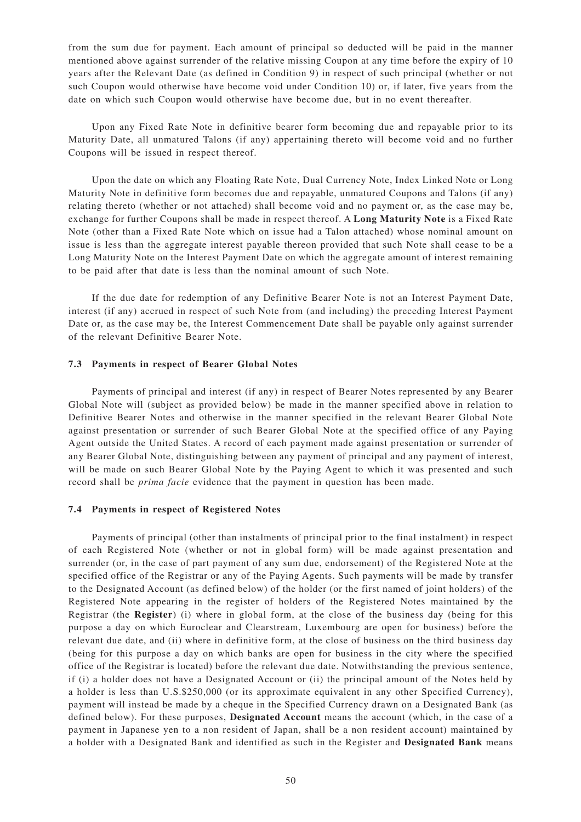from the sum due for payment. Each amount of principal so deducted will be paid in the manner mentioned above against surrender of the relative missing Coupon at any time before the expiry of 10 years after the Relevant Date (as defined in Condition 9) in respect of such principal (whether or not such Coupon would otherwise have become void under Condition 10) or, if later, five years from the date on which such Coupon would otherwise have become due, but in no event thereafter.

Upon any Fixed Rate Note in definitive bearer form becoming due and repayable prior to its Maturity Date, all unmatured Talons (if any) appertaining thereto will become void and no further Coupons will be issued in respect thereof.

Upon the date on which any Floating Rate Note, Dual Currency Note, Index Linked Note or Long Maturity Note in definitive form becomes due and repayable, unmatured Coupons and Talons (if any) relating thereto (whether or not attached) shall become void and no payment or, as the case may be, exchange for further Coupons shall be made in respect thereof. A **Long Maturity Note** is a Fixed Rate Note (other than a Fixed Rate Note which on issue had a Talon attached) whose nominal amount on issue is less than the aggregate interest payable thereon provided that such Note shall cease to be a Long Maturity Note on the Interest Payment Date on which the aggregate amount of interest remaining to be paid after that date is less than the nominal amount of such Note.

If the due date for redemption of any Definitive Bearer Note is not an Interest Payment Date, interest (if any) accrued in respect of such Note from (and including) the preceding Interest Payment Date or, as the case may be, the Interest Commencement Date shall be payable only against surrender of the relevant Definitive Bearer Note.

## **7.3 Payments in respect of Bearer Global Notes**

Payments of principal and interest (if any) in respect of Bearer Notes represented by any Bearer Global Note will (subject as provided below) be made in the manner specified above in relation to Definitive Bearer Notes and otherwise in the manner specified in the relevant Bearer Global Note against presentation or surrender of such Bearer Global Note at the specified office of any Paying Agent outside the United States. A record of each payment made against presentation or surrender of any Bearer Global Note, distinguishing between any payment of principal and any payment of interest, will be made on such Bearer Global Note by the Paying Agent to which it was presented and such record shall be *prima facie* evidence that the payment in question has been made.

## **7.4 Payments in respect of Registered Notes**

Payments of principal (other than instalments of principal prior to the final instalment) in respect of each Registered Note (whether or not in global form) will be made against presentation and surrender (or, in the case of part payment of any sum due, endorsement) of the Registered Note at the specified office of the Registrar or any of the Paying Agents. Such payments will be made by transfer to the Designated Account (as defined below) of the holder (or the first named of joint holders) of the Registered Note appearing in the register of holders of the Registered Notes maintained by the Registrar (the **Register**) (i) where in global form, at the close of the business day (being for this purpose a day on which Euroclear and Clearstream, Luxembourg are open for business) before the relevant due date, and (ii) where in definitive form, at the close of business on the third business day (being for this purpose a day on which banks are open for business in the city where the specified office of the Registrar is located) before the relevant due date. Notwithstanding the previous sentence, if (i) a holder does not have a Designated Account or (ii) the principal amount of the Notes held by a holder is less than U.S.\$250,000 (or its approximate equivalent in any other Specified Currency), payment will instead be made by a cheque in the Specified Currency drawn on a Designated Bank (as defined below). For these purposes, **Designated Account** means the account (which, in the case of a payment in Japanese yen to a non resident of Japan, shall be a non resident account) maintained by a holder with a Designated Bank and identified as such in the Register and **Designated Bank** means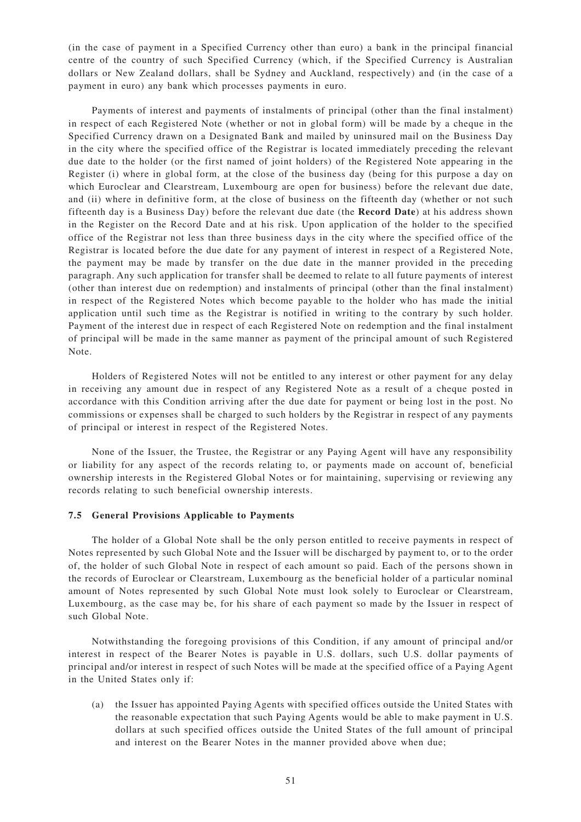(in the case of payment in a Specified Currency other than euro) a bank in the principal financial centre of the country of such Specified Currency (which, if the Specified Currency is Australian dollars or New Zealand dollars, shall be Sydney and Auckland, respectively) and (in the case of a payment in euro) any bank which processes payments in euro.

Payments of interest and payments of instalments of principal (other than the final instalment) in respect of each Registered Note (whether or not in global form) will be made by a cheque in the Specified Currency drawn on a Designated Bank and mailed by uninsured mail on the Business Day in the city where the specified office of the Registrar is located immediately preceding the relevant due date to the holder (or the first named of joint holders) of the Registered Note appearing in the Register (i) where in global form, at the close of the business day (being for this purpose a day on which Euroclear and Clearstream, Luxembourg are open for business) before the relevant due date, and (ii) where in definitive form, at the close of business on the fifteenth day (whether or not such fifteenth day is a Business Day) before the relevant due date (the **Record Date**) at his address shown in the Register on the Record Date and at his risk. Upon application of the holder to the specified office of the Registrar not less than three business days in the city where the specified office of the Registrar is located before the due date for any payment of interest in respect of a Registered Note, the payment may be made by transfer on the due date in the manner provided in the preceding paragraph. Any such application for transfer shall be deemed to relate to all future payments of interest (other than interest due on redemption) and instalments of principal (other than the final instalment) in respect of the Registered Notes which become payable to the holder who has made the initial application until such time as the Registrar is notified in writing to the contrary by such holder. Payment of the interest due in respect of each Registered Note on redemption and the final instalment of principal will be made in the same manner as payment of the principal amount of such Registered Note.

Holders of Registered Notes will not be entitled to any interest or other payment for any delay in receiving any amount due in respect of any Registered Note as a result of a cheque posted in accordance with this Condition arriving after the due date for payment or being lost in the post. No commissions or expenses shall be charged to such holders by the Registrar in respect of any payments of principal or interest in respect of the Registered Notes.

None of the Issuer, the Trustee, the Registrar or any Paying Agent will have any responsibility or liability for any aspect of the records relating to, or payments made on account of, beneficial ownership interests in the Registered Global Notes or for maintaining, supervising or reviewing any records relating to such beneficial ownership interests.

#### **7.5 General Provisions Applicable to Payments**

The holder of a Global Note shall be the only person entitled to receive payments in respect of Notes represented by such Global Note and the Issuer will be discharged by payment to, or to the order of, the holder of such Global Note in respect of each amount so paid. Each of the persons shown in the records of Euroclear or Clearstream, Luxembourg as the beneficial holder of a particular nominal amount of Notes represented by such Global Note must look solely to Euroclear or Clearstream, Luxembourg, as the case may be, for his share of each payment so made by the Issuer in respect of such Global Note.

Notwithstanding the foregoing provisions of this Condition, if any amount of principal and/or interest in respect of the Bearer Notes is payable in U.S. dollars, such U.S. dollar payments of principal and/or interest in respect of such Notes will be made at the specified office of a Paying Agent in the United States only if:

(a) the Issuer has appointed Paying Agents with specified offices outside the United States with the reasonable expectation that such Paying Agents would be able to make payment in U.S. dollars at such specified offices outside the United States of the full amount of principal and interest on the Bearer Notes in the manner provided above when due;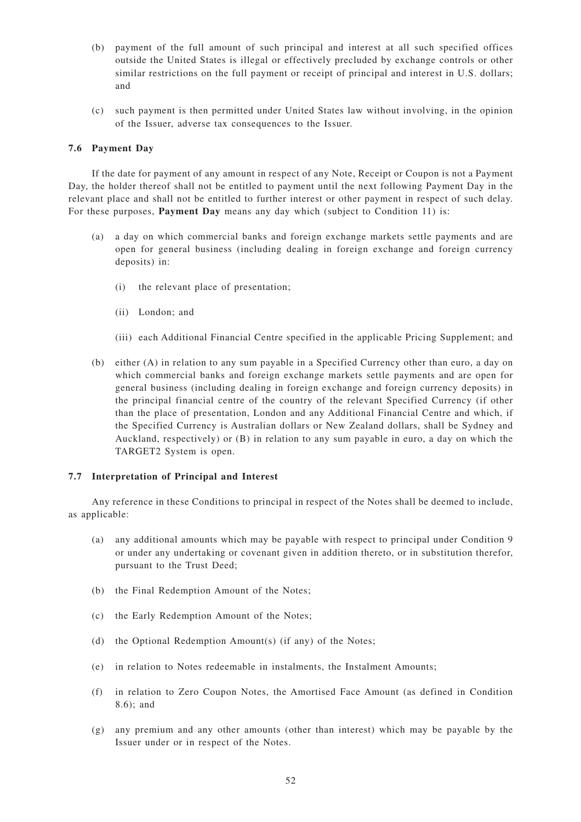- (b) payment of the full amount of such principal and interest at all such specified offices outside the United States is illegal or effectively precluded by exchange controls or other similar restrictions on the full payment or receipt of principal and interest in U.S. dollars; and
- (c) such payment is then permitted under United States law without involving, in the opinion of the Issuer, adverse tax consequences to the Issuer.

## **7.6 Payment Day**

If the date for payment of any amount in respect of any Note, Receipt or Coupon is not a Payment Day, the holder thereof shall not be entitled to payment until the next following Payment Day in the relevant place and shall not be entitled to further interest or other payment in respect of such delay. For these purposes, **Payment Day** means any day which (subject to Condition 11) is:

- (a) a day on which commercial banks and foreign exchange markets settle payments and are open for general business (including dealing in foreign exchange and foreign currency deposits) in:
	- (i) the relevant place of presentation;
	- (ii) London; and
	- (iii) each Additional Financial Centre specified in the applicable Pricing Supplement; and
- (b) either (A) in relation to any sum payable in a Specified Currency other than euro, a day on which commercial banks and foreign exchange markets settle payments and are open for general business (including dealing in foreign exchange and foreign currency deposits) in the principal financial centre of the country of the relevant Specified Currency (if other than the place of presentation, London and any Additional Financial Centre and which, if the Specified Currency is Australian dollars or New Zealand dollars, shall be Sydney and Auckland, respectively) or (B) in relation to any sum payable in euro, a day on which the TARGET2 System is open.

## **7.7 Interpretation of Principal and Interest**

Any reference in these Conditions to principal in respect of the Notes shall be deemed to include, as applicable:

- (a) any additional amounts which may be payable with respect to principal under Condition 9 or under any undertaking or covenant given in addition thereto, or in substitution therefor, pursuant to the Trust Deed;
- (b) the Final Redemption Amount of the Notes;
- (c) the Early Redemption Amount of the Notes;
- (d) the Optional Redemption Amount(s) (if any) of the Notes;
- (e) in relation to Notes redeemable in instalments, the Instalment Amounts;
- (f) in relation to Zero Coupon Notes, the Amortised Face Amount (as defined in Condition 8.6); and
- (g) any premium and any other amounts (other than interest) which may be payable by the Issuer under or in respect of the Notes.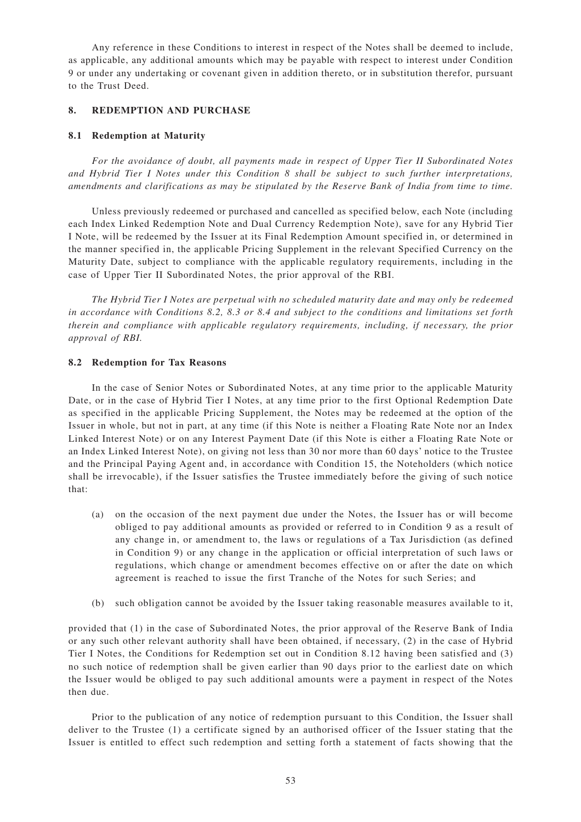Any reference in these Conditions to interest in respect of the Notes shall be deemed to include, as applicable, any additional amounts which may be payable with respect to interest under Condition 9 or under any undertaking or covenant given in addition thereto, or in substitution therefor, pursuant to the Trust Deed.

## **8. REDEMPTION AND PURCHASE**

## **8.1 Redemption at Maturity**

*For the avoidance of doubt, all payments made in respect of Upper Tier II Subordinated Notes and Hybrid Tier I Notes under this Condition 8 shall be subject to such further interpretations, amendments and clarifications as may be stipulated by the Reserve Bank of India from time to time.*

Unless previously redeemed or purchased and cancelled as specified below, each Note (including each Index Linked Redemption Note and Dual Currency Redemption Note), save for any Hybrid Tier I Note, will be redeemed by the Issuer at its Final Redemption Amount specified in, or determined in the manner specified in, the applicable Pricing Supplement in the relevant Specified Currency on the Maturity Date, subject to compliance with the applicable regulatory requirements, including in the case of Upper Tier II Subordinated Notes, the prior approval of the RBI.

*The Hybrid Tier I Notes are perpetual with no scheduled maturity date and may only be redeemed in accordance with Conditions 8.2, 8.3 or 8.4 and subject to the conditions and limitations set forth therein and compliance with applicable regulatory requirements, including, if necessary, the prior approval of RBI.*

## **8.2 Redemption for Tax Reasons**

In the case of Senior Notes or Subordinated Notes, at any time prior to the applicable Maturity Date, or in the case of Hybrid Tier I Notes, at any time prior to the first Optional Redemption Date as specified in the applicable Pricing Supplement, the Notes may be redeemed at the option of the Issuer in whole, but not in part, at any time (if this Note is neither a Floating Rate Note nor an Index Linked Interest Note) or on any Interest Payment Date (if this Note is either a Floating Rate Note or an Index Linked Interest Note), on giving not less than 30 nor more than 60 days' notice to the Trustee and the Principal Paying Agent and, in accordance with Condition 15, the Noteholders (which notice shall be irrevocable), if the Issuer satisfies the Trustee immediately before the giving of such notice that:

- (a) on the occasion of the next payment due under the Notes, the Issuer has or will become obliged to pay additional amounts as provided or referred to in Condition 9 as a result of any change in, or amendment to, the laws or regulations of a Tax Jurisdiction (as defined in Condition 9) or any change in the application or official interpretation of such laws or regulations, which change or amendment becomes effective on or after the date on which agreement is reached to issue the first Tranche of the Notes for such Series; and
- (b) such obligation cannot be avoided by the Issuer taking reasonable measures available to it,

provided that (1) in the case of Subordinated Notes, the prior approval of the Reserve Bank of India or any such other relevant authority shall have been obtained, if necessary, (2) in the case of Hybrid Tier I Notes, the Conditions for Redemption set out in Condition 8.12 having been satisfied and (3) no such notice of redemption shall be given earlier than 90 days prior to the earliest date on which the Issuer would be obliged to pay such additional amounts were a payment in respect of the Notes then due.

Prior to the publication of any notice of redemption pursuant to this Condition, the Issuer shall deliver to the Trustee (1) a certificate signed by an authorised officer of the Issuer stating that the Issuer is entitled to effect such redemption and setting forth a statement of facts showing that the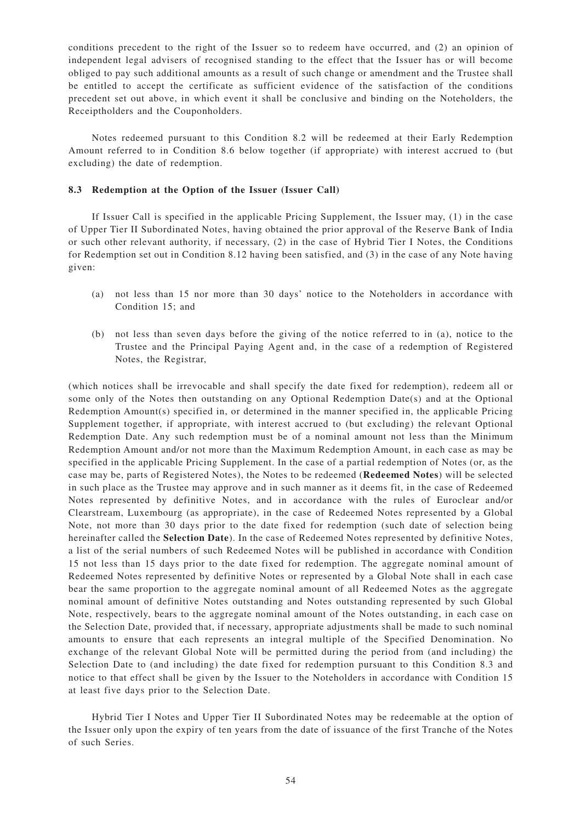conditions precedent to the right of the Issuer so to redeem have occurred, and (2) an opinion of independent legal advisers of recognised standing to the effect that the Issuer has or will become obliged to pay such additional amounts as a result of such change or amendment and the Trustee shall be entitled to accept the certificate as sufficient evidence of the satisfaction of the conditions precedent set out above, in which event it shall be conclusive and binding on the Noteholders, the Receiptholders and the Couponholders.

Notes redeemed pursuant to this Condition 8.2 will be redeemed at their Early Redemption Amount referred to in Condition 8.6 below together (if appropriate) with interest accrued to (but excluding) the date of redemption.

## **8.3 Redemption at the Option of the Issuer (Issuer Call)**

If Issuer Call is specified in the applicable Pricing Supplement, the Issuer may, (1) in the case of Upper Tier II Subordinated Notes, having obtained the prior approval of the Reserve Bank of India or such other relevant authority, if necessary, (2) in the case of Hybrid Tier I Notes, the Conditions for Redemption set out in Condition 8.12 having been satisfied, and (3) in the case of any Note having given:

- (a) not less than 15 nor more than 30 days' notice to the Noteholders in accordance with Condition 15; and
- (b) not less than seven days before the giving of the notice referred to in (a), notice to the Trustee and the Principal Paying Agent and, in the case of a redemption of Registered Notes, the Registrar,

(which notices shall be irrevocable and shall specify the date fixed for redemption), redeem all or some only of the Notes then outstanding on any Optional Redemption Date(s) and at the Optional Redemption Amount(s) specified in, or determined in the manner specified in, the applicable Pricing Supplement together, if appropriate, with interest accrued to (but excluding) the relevant Optional Redemption Date. Any such redemption must be of a nominal amount not less than the Minimum Redemption Amount and/or not more than the Maximum Redemption Amount, in each case as may be specified in the applicable Pricing Supplement. In the case of a partial redemption of Notes (or, as the case may be, parts of Registered Notes), the Notes to be redeemed (**Redeemed Notes**) will be selected in such place as the Trustee may approve and in such manner as it deems fit, in the case of Redeemed Notes represented by definitive Notes, and in accordance with the rules of Euroclear and/or Clearstream, Luxembourg (as appropriate), in the case of Redeemed Notes represented by a Global Note, not more than 30 days prior to the date fixed for redemption (such date of selection being hereinafter called the **Selection Date**). In the case of Redeemed Notes represented by definitive Notes, a list of the serial numbers of such Redeemed Notes will be published in accordance with Condition 15 not less than 15 days prior to the date fixed for redemption. The aggregate nominal amount of Redeemed Notes represented by definitive Notes or represented by a Global Note shall in each case bear the same proportion to the aggregate nominal amount of all Redeemed Notes as the aggregate nominal amount of definitive Notes outstanding and Notes outstanding represented by such Global Note, respectively, bears to the aggregate nominal amount of the Notes outstanding, in each case on the Selection Date, provided that, if necessary, appropriate adjustments shall be made to such nominal amounts to ensure that each represents an integral multiple of the Specified Denomination. No exchange of the relevant Global Note will be permitted during the period from (and including) the Selection Date to (and including) the date fixed for redemption pursuant to this Condition 8.3 and notice to that effect shall be given by the Issuer to the Noteholders in accordance with Condition 15 at least five days prior to the Selection Date.

Hybrid Tier I Notes and Upper Tier II Subordinated Notes may be redeemable at the option of the Issuer only upon the expiry of ten years from the date of issuance of the first Tranche of the Notes of such Series.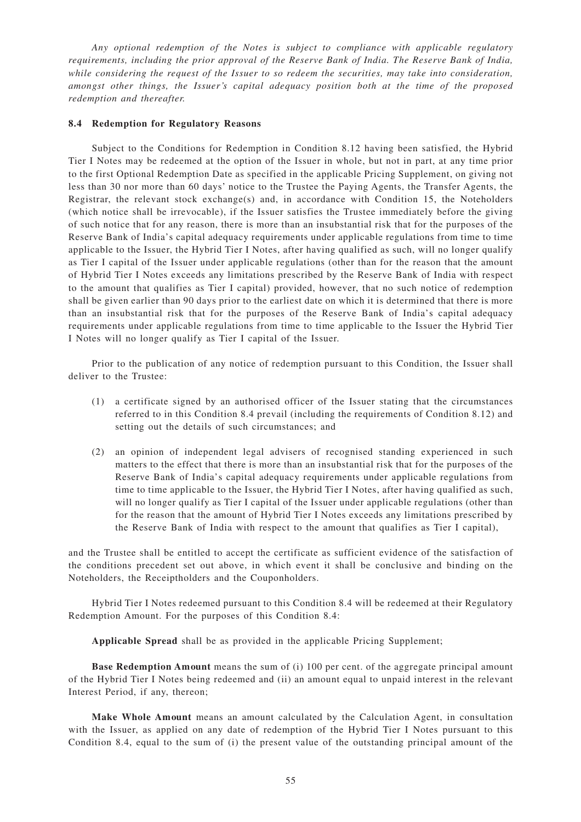*Any optional redemption of the Notes is subject to compliance with applicable regulatory requirements, including the prior approval of the Reserve Bank of India. The Reserve Bank of India, while considering the request of the Issuer to so redeem the securities, may take into consideration, amongst other things, the Issuer 's capital adequacy position both at the time of the proposed redemption and thereafter.*

### **8.4 Redemption for Regulatory Reasons**

Subject to the Conditions for Redemption in Condition 8.12 having been satisfied, the Hybrid Tier I Notes may be redeemed at the option of the Issuer in whole, but not in part, at any time prior to the first Optional Redemption Date as specified in the applicable Pricing Supplement, on giving not less than 30 nor more than 60 days' notice to the Trustee the Paying Agents, the Transfer Agents, the Registrar, the relevant stock exchange(s) and, in accordance with Condition 15, the Noteholders (which notice shall be irrevocable), if the Issuer satisfies the Trustee immediately before the giving of such notice that for any reason, there is more than an insubstantial risk that for the purposes of the Reserve Bank of India's capital adequacy requirements under applicable regulations from time to time applicable to the Issuer, the Hybrid Tier I Notes, after having qualified as such, will no longer qualify as Tier I capital of the Issuer under applicable regulations (other than for the reason that the amount of Hybrid Tier I Notes exceeds any limitations prescribed by the Reserve Bank of India with respect to the amount that qualifies as Tier I capital) provided, however, that no such notice of redemption shall be given earlier than 90 days prior to the earliest date on which it is determined that there is more than an insubstantial risk that for the purposes of the Reserve Bank of India's capital adequacy requirements under applicable regulations from time to time applicable to the Issuer the Hybrid Tier I Notes will no longer qualify as Tier I capital of the Issuer.

Prior to the publication of any notice of redemption pursuant to this Condition, the Issuer shall deliver to the Trustee:

- (1) a certificate signed by an authorised officer of the Issuer stating that the circumstances referred to in this Condition 8.4 prevail (including the requirements of Condition 8.12) and setting out the details of such circumstances; and
- (2) an opinion of independent legal advisers of recognised standing experienced in such matters to the effect that there is more than an insubstantial risk that for the purposes of the Reserve Bank of India's capital adequacy requirements under applicable regulations from time to time applicable to the Issuer, the Hybrid Tier I Notes, after having qualified as such, will no longer qualify as Tier I capital of the Issuer under applicable regulations (other than for the reason that the amount of Hybrid Tier I Notes exceeds any limitations prescribed by the Reserve Bank of India with respect to the amount that qualifies as Tier I capital),

and the Trustee shall be entitled to accept the certificate as sufficient evidence of the satisfaction of the conditions precedent set out above, in which event it shall be conclusive and binding on the Noteholders, the Receiptholders and the Couponholders.

Hybrid Tier I Notes redeemed pursuant to this Condition 8.4 will be redeemed at their Regulatory Redemption Amount. For the purposes of this Condition 8.4:

**Applicable Spread** shall be as provided in the applicable Pricing Supplement;

**Base Redemption Am ount** means the sum of (i) 100 per cent. of the aggregate principal amount of the Hybrid Tier I Notes being redeemed and (ii) an amount equal to unpaid interest in the relevant Interest Period, if any, thereon;

**Make Whole Am ount** means an amount calculated by the Calculation Agent, in consultation with the Issuer, as applied on any date of redemption of the Hybrid Tier I Notes pursuant to this Condition 8.4, equal to the sum of (i) the present value of the outstanding principal amount of the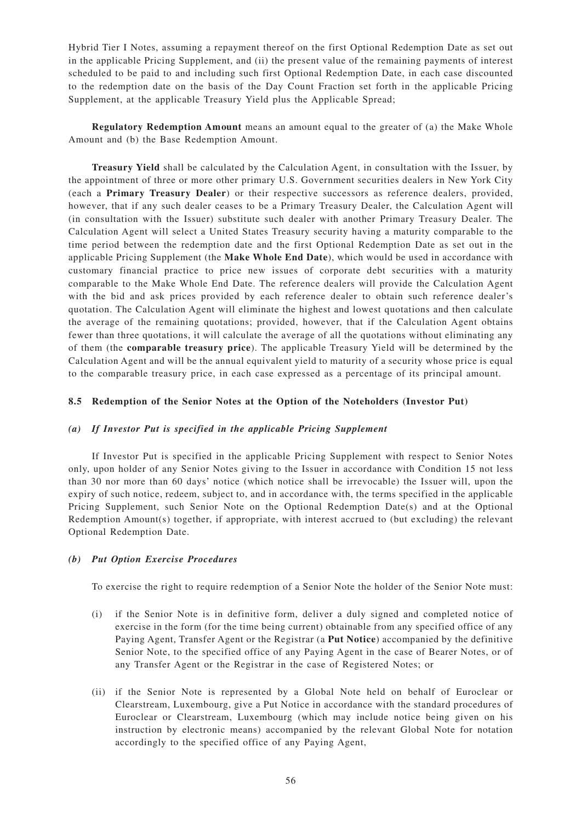Hybrid Tier I Notes, assuming a repayment thereof on the first Optional Redemption Date as set out in the applicable Pricing Supplement, and (ii) the present value of the remaining payments of interest scheduled to be paid to and including such first Optional Redemption Date, in each case discounted to the redemption date on the basis of the Day Count Fraction set forth in the applicable Pricing Supplement, at the applicable Treasury Yield plus the Applicable Spread;

**Regulatory Redemption Amount** means an amount equal to the greater of (a) the Make Whole Amount and (b) the Base Redemption Amount.

**Treasury Yield** shall be calculated by the Calculation Agent, in consultation with the Issuer, by the appointment of three or more other primary U.S. Government securities dealers in New York City (each a **Primary Treasury Dealer**) or their respective successors as reference dealers, provided, however, that if any such dealer ceases to be a Primary Treasury Dealer, the Calculation Agent will (in consultation with the Issuer) substitute such dealer with another Primary Treasury Dealer. The Calculation Agent will select a United States Treasury security having a maturity comparable to the time period between the redemption date and the first Optional Redemption Date as set out in the applicable Pricing Supplement (the **Make Whole End Date**), which would be used in accordance with customary financial practice to price new issues of corporate debt securities with a maturity comparable to the Make Whole End Date. The reference dealers will provide the Calculation Agent with the bid and ask prices provided by each reference dealer to obtain such reference dealer 's quotation. The Calculation Agent will eliminate the highest and lowest quotations and then calculate the average of the remaining quotations; provided, however, that if the Calculation Agent obtains fewer than three quotations, it will calculate the average of all the quotations without eliminating any of them (the **comparable treasury price**). The applicable Treasury Yield will be determined by the Calculation Agent and will be the annual equivalent yield to maturity of a security whose price is equal to the comparable treasury price, in each case expressed as a percentage of its principal amount.

## **8.5 Redemption of the Senior Notes at the Option of the Noteholders (Investor Put)**

## *(a) If Investor Put is specified in the applicable Pricing Supplement*

If Investor Put is specified in the applicable Pricing Supplement with respect to Senior Notes only, upon holder of any Senior Notes giving to the Issuer in accordance with Condition 15 not less than 30 nor more than 60 days' notice (which notice shall be irrevocable) the Issuer will, upon the expiry of such notice, redeem, subject to, and in accordance with, the terms specified in the applicable Pricing Supplement, such Senior Note on the Optional Redemption Date(s) and at the Optional Redemption Amount(s) together, if appropriate, with interest accrued to (but excluding) the relevant Optional Redemption Date.

## *(b) Put Option Exercise Procedures*

To exercise the right to require redemption of a Senior Note the holder of the Senior Note must:

- (i) if the Senior Note is in definitive form, deliver a duly signed and completed notice of exercise in the form (for the time being current) obtainable from any specified office of any Paying Agent, Transfer Agent or the Registrar (a **Put Notice**) accompanied by the definitive Senior Note, to the specified office of any Paying Agent in the case of Bearer Notes, or of any Transfer Agent or the Registrar in the case of Registered Notes; or
- (ii) if the Senior Note is represented by a Global Note held on behalf of Euroclear or Clearstream, Luxembourg, give a Put Notice in accordance with the standard procedures of Euroclear or Clearstream, Luxembourg (which may include notice being given on his instruction by electronic means) accompanied by the relevant Global Note for notation accordingly to the specified office of any Paying Agent,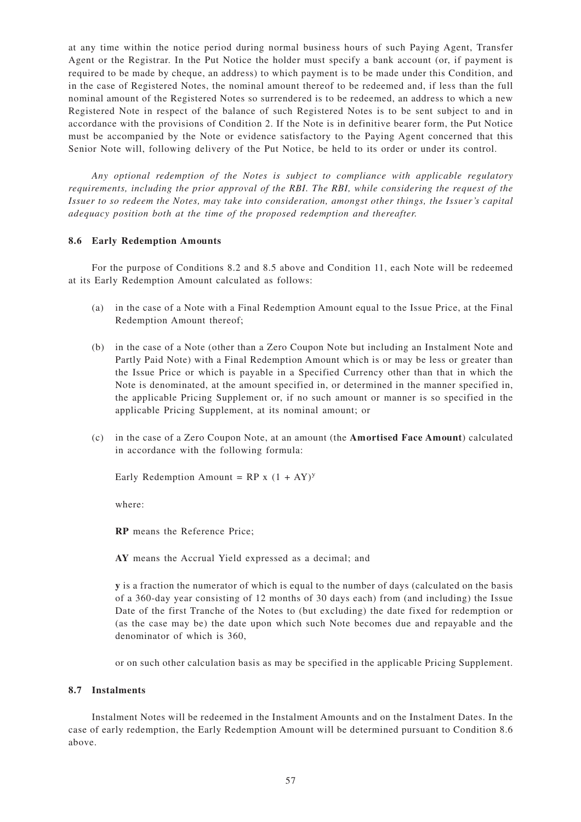at any time within the notice period during normal business hours of such Paying Agent, Transfer Agent or the Registrar. In the Put Notice the holder must specify a bank account (or, if payment is required to be made by cheque, an address) to which payment is to be made under this Condition, and in the case of Registered Notes, the nominal amount thereof to be redeemed and, if less than the full nominal amount of the Registered Notes so surrendered is to be redeemed, an address to which a new Registered Note in respect of the balance of such Registered Notes is to be sent subject to and in accordance with the provisions of Condition 2. If the Note is in definitive bearer form, the Put Notice must be accompanied by the Note or evidence satisfactory to the Paying Agent concerned that this Senior Note will, following delivery of the Put Notice, be held to its order or under its control.

*Any optional redemption of the Notes is subject to compliance with applicable regulatory requirements, including the prior approval of the RBI. The RBI, while considering the request of the Issuer to so redeem the Notes, may take into consideration, amongst other things, the Issuer 's capital adequacy position both at the time of the proposed redemption and thereafter.*

## **8.6 Early Redemption Am ounts**

For the purpose of Conditions 8.2 and 8.5 above and Condition 11, each Note will be redeemed at its Early Redemption Amount calculated as follows:

- (a) in the case of a Note with a Final Redemption Amount equal to the Issue Price, at the Final Redemption Amount thereof;
- (b) in the case of a Note (other than a Zero Coupon Note but including an Instalment Note and Partly Paid Note) with a Final Redemption Amount which is or may be less or greater than the Issue Price or which is payable in a Specified Currency other than that in which the Note is denominated, at the amount specified in, or determined in the manner specified in, the applicable Pricing Supplement or, if no such amount or manner is so specified in the applicable Pricing Supplement, at its nominal amount; or
- (c) in the case of a Zero Coupon Note, at an amount (the **Am ortised Face Am ount**) calculated in accordance with the following formula:

Early Redemption Amount =  $RP \times (1 + AY)^y$ 

where:

**RP** means the Reference Price;

**AY** means the Accrual Yield expressed as a decimal; and

**y** is a fraction the numerator of which is equal to the number of days (calculated on the basis of a 360-day year consisting of 12 months of 30 days each) from (and including) the Issue Date of the first Tranche of the Notes to (but excluding) the date fixed for redemption or (as the case may be) the date upon which such Note becomes due and repayable and the denominator of which is 360,

or on such other calculation basis as may be specified in the applicable Pricing Supplement.

# **8.7 Instalments**

Instalment Notes will be redeemed in the Instalment Amounts and on the Instalment Dates. In the case of early redemption, the Early Redemption Amount will be determined pursuant to Condition 8.6 above.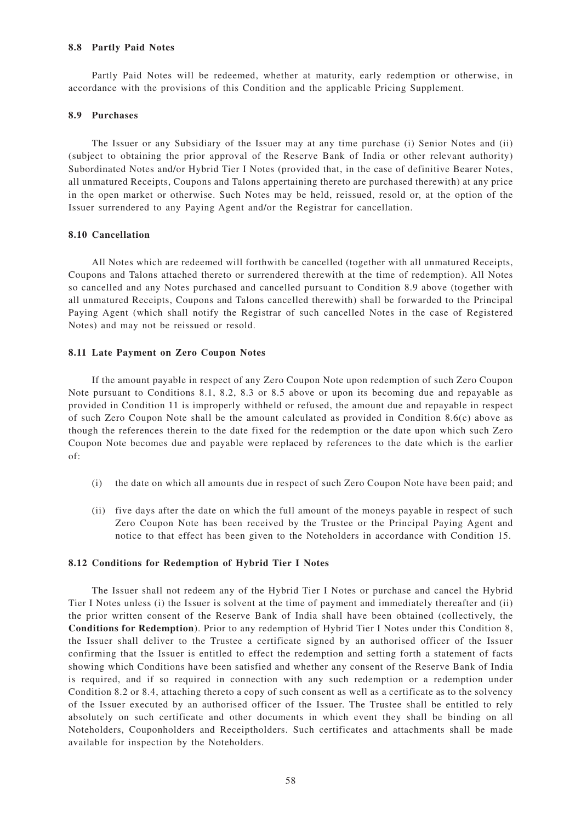#### **8.8 Partly Paid Notes**

Partly Paid Notes will be redeemed, whether at maturity, early redemption or otherwise, in accordance with the provisions of this Condition and the applicable Pricing Supplement.

### **8.9 Purchases**

The Issuer or any Subsidiary of the Issuer may at any time purchase (i) Senior Notes and (ii) (subject to obtaining the prior approval of the Reserve Bank of India or other relevant authority) Subordinated Notes and/or Hybrid Tier I Notes (provided that, in the case of definitive Bearer Notes, all unmatured Receipts, Coupons and Talons appertaining thereto are purchased therewith) at any price in the open market or otherwise. Such Notes may be held, reissued, resold or, at the option of the Issuer surrendered to any Paying Agent and/or the Registrar for cancellation.

## **8.10 Cancellation**

All Notes which are redeemed will forthwith be cancelled (together with all unmatured Receipts, Coupons and Talons attached thereto or surrendered therewith at the time of redemption). All Notes so cancelled and any Notes purchased and cancelled pursuant to Condition 8.9 above (together with all unmatured Receipts, Coupons and Talons cancelled therewith) shall be forwarded to the Principal Paying Agent (which shall notify the Registrar of such cancelled Notes in the case of Registered Notes) and may not be reissued or resold.

## **8.11 Late Payment on Zero Coupon Notes**

If the amount payable in respect of any Zero Coupon Note upon redemption of such Zero Coupon Note pursuant to Conditions 8.1, 8.2, 8.3 or 8.5 above or upon its becoming due and repayable as provided in Condition 11 is improperly withheld or refused, the amount due and repayable in respect of such Zero Coupon Note shall be the amount calculated as provided in Condition 8.6(c) above as though the references therein to the date fixed for the redemption or the date upon which such Zero Coupon Note becomes due and payable were replaced by references to the date which is the earlier of:

- (i) the date on which all amounts due in respect of such Zero Coupon Note have been paid; and
- (ii) five days after the date on which the full amount of the moneys payable in respect of such Zero Coupon Note has been received by the Trustee or the Principal Paying Agent and notice to that effect has been given to the Noteholders in accordance with Condition 15.

## **8.12 Conditions for Redemption of Hybrid Tier I Notes**

The Issuer shall not redeem any of the Hybrid Tier I Notes or purchase and cancel the Hybrid Tier I Notes unless (i) the Issuer is solvent at the time of payment and immediately thereafter and (ii) the prior written consent of the Reserve Bank of India shall have been obtained (collectively, the **Conditions for Redemption**). Prior to any redemption of Hybrid Tier I Notes under this Condition 8, the Issuer shall deliver to the Trustee a certificate signed by an authorised officer of the Issuer confirming that the Issuer is entitled to effect the redemption and setting forth a statement of facts showing which Conditions have been satisfied and whether any consent of the Reserve Bank of India is required, and if so required in connection with any such redemption or a redemption under Condition 8.2 or 8.4, attaching thereto a copy of such consent as well as a certificate as to the solvency of the Issuer executed by an authorised officer of the Issuer. The Trustee shall be entitled to rely absolutely on such certificate and other documents in which event they shall be binding on all Noteholders, Couponholders and Receiptholders. Such certificates and attachments shall be made available for inspection by the Noteholders.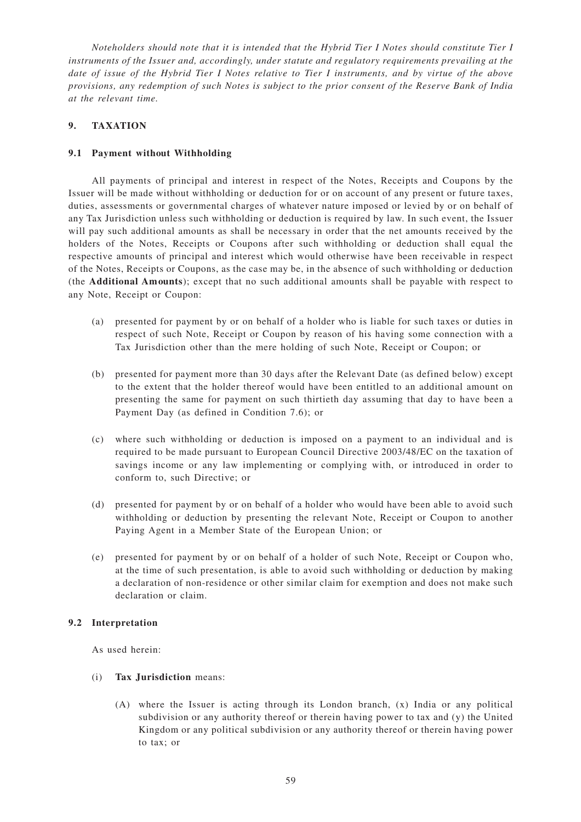*Noteholders should note that it is intended that the Hybrid Tier I Notes should constitute Tier I instruments of the Issuer and, accordingly, under statute and regulatory requirements prevailing at the date of issue of the Hybrid Tier I Notes relative to Tier I instruments, and by virtue of the above provisions, any redemption of such Notes is subject to the prior consent of the Reserve Bank of India at the relevant time.*

# **9. TAXATION**

# **9.1 Payment without Withholding**

All payments of principal and interest in respect of the Notes, Receipts and Coupons by the Issuer will be made without withholding or deduction for or on account of any present or future taxes, duties, assessments or governmental charges of whatever nature imposed or levied by or on behalf of any Tax Jurisdiction unless such withholding or deduction is required by law. In such event, the Issuer will pay such additional amounts as shall be necessary in order that the net amounts received by the holders of the Notes, Receipts or Coupons after such withholding or deduction shall equal the respective amounts of principal and interest which would otherwise have been receivable in respect of the Notes, Receipts or Coupons, as the case may be, in the absence of such withholding or deduction (the **Additional Am ounts**); except that no such additional amounts shall be payable with respect to any Note, Receipt or Coupon:

- (a) presented for payment by or on behalf of a holder who is liable for such taxes or duties in respect of such Note, Receipt or Coupon by reason of his having some connection with a Tax Jurisdiction other than the mere holding of such Note, Receipt or Coupon; or
- (b) presented for payment more than 30 days after the Relevant Date (as defined below) except to the extent that the holder thereof would have been entitled to an additional amount on presenting the same for payment on such thirtieth day assuming that day to have been a Payment Day (as defined in Condition 7.6); or
- (c) where such withholding or deduction is imposed on a payment to an individual and is required to be made pursuant to European Council Directive 2003/48/EC on the taxation of savings income or any law implementing or complying with, or introduced in order to conform to, such Directive; or
- (d) presented for payment by or on behalf of a holder who would have been able to avoid such withholding or deduction by presenting the relevant Note, Receipt or Coupon to another Paying Agent in a Member State of the European Union; or
- (e) presented for payment by or on behalf of a holder of such Note, Receipt or Coupon who, at the time of such presentation, is able to avoid such withholding or deduction by making a declaration of non-residence or other similar claim for exemption and does not make such declaration or claim.

# **9.2 Interpretation**

As used herein:

# (i) **Tax Jurisdiction** means:

(A) where the Issuer is acting through its London branch, (x) India or any political subdivision or any authority thereof or therein having power to tax and (y) the United Kingdom or any political subdivision or any authority thereof or therein having power to tax; or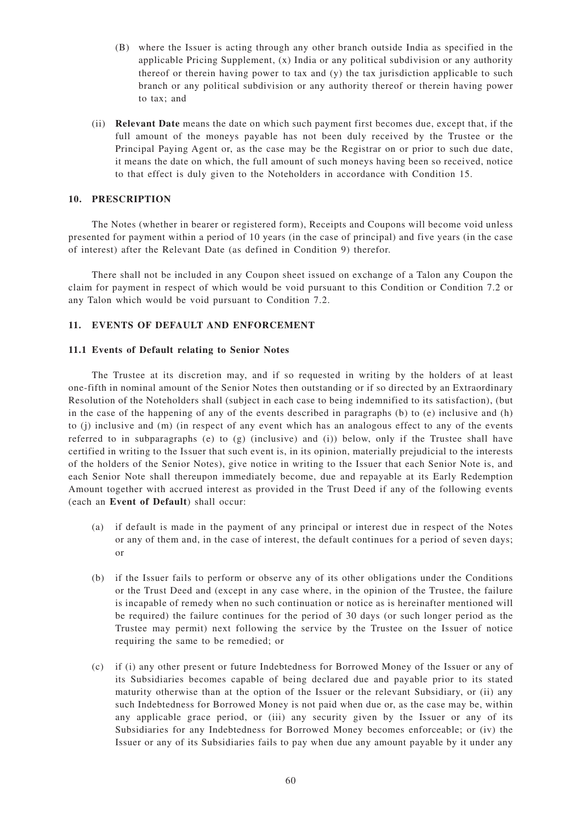- (B) where the Issuer is acting through any other branch outside India as specified in the applicable Pricing Supplement, (x) India or any political subdivision or any authority thereof or therein having power to tax and (y) the tax jurisdiction applicable to such branch or any political subdivision or any authority thereof or therein having power to tax; and
- (ii) **Relevant Date** means the date on which such payment first becomes due, except that, if the full amount of the moneys payable has not been duly received by the Trustee or the Principal Paying Agent or, as the case may be the Registrar on or prior to such due date, it means the date on which, the full amount of such moneys having been so received, notice to that effect is duly given to the Noteholders in accordance with Condition 15.

# **10. PRESCRIPTION**

The Notes (whether in bearer or registered form), Receipts and Coupons will become void unless presented for payment within a period of 10 years (in the case of principal) and five years (in the case of interest) after the Relevant Date (as defined in Condition 9) therefor.

There shall not be included in any Coupon sheet issued on exchange of a Talon any Coupon the claim for payment in respect of which would be void pursuant to this Condition or Condition 7.2 or any Talon which would be void pursuant to Condition 7.2.

## **11. EVENTS OF DEFAULT AND ENFORCEMENT**

## **11.1 Events of Default relating to Senior Notes**

The Trustee at its discretion may, and if so requested in writing by the holders of at least one-fifth in nominal amount of the Senior Notes then outstanding or if so directed by an Extraordinary Resolution of the Noteholders shall (subject in each case to being indemnified to its satisfaction), (but in the case of the happening of any of the events described in paragraphs (b) to (e) inclusive and (h) to (j) inclusive and (m) (in respect of any event which has an analogous effect to any of the events referred to in subparagraphs (e) to (g) (inclusive) and (i)) below, only if the Trustee shall have certified in writing to the Issuer that such event is, in its opinion, materially prejudicial to the interests of the holders of the Senior Notes), give notice in writing to the Issuer that each Senior Note is, and each Senior Note shall thereupon immediately become, due and repayable at its Early Redemption Amount together with accrued interest as provided in the Trust Deed if any of the following events (each an **Event of Default**) shall occur:

- (a) if default is made in the payment of any principal or interest due in respect of the Notes or any of them and, in the case of interest, the default continues for a period of seven days; or
- (b) if the Issuer fails to perform or observe any of its other obligations under the Conditions or the Trust Deed and (except in any case where, in the opinion of the Trustee, the failure is incapable of remedy when no such continuation or notice as is hereinafter mentioned will be required) the failure continues for the period of 30 days (or such longer period as the Trustee may permit) next following the service by the Trustee on the Issuer of notice requiring the same to be remedied; or
- (c) if (i) any other present or future Indebtedness for Borrowed Money of the Issuer or any of its Subsidiaries becomes capable of being declared due and payable prior to its stated maturity otherwise than at the option of the Issuer or the relevant Subsidiary, or (ii) any such Indebtedness for Borrowed Money is not paid when due or, as the case may be, within any applicable grace period, or (iii) any security given by the Issuer or any of its Subsidiaries for any Indebtedness for Borrowed Money becomes enforceable; or (iv) the Issuer or any of its Subsidiaries fails to pay when due any amount payable by it under any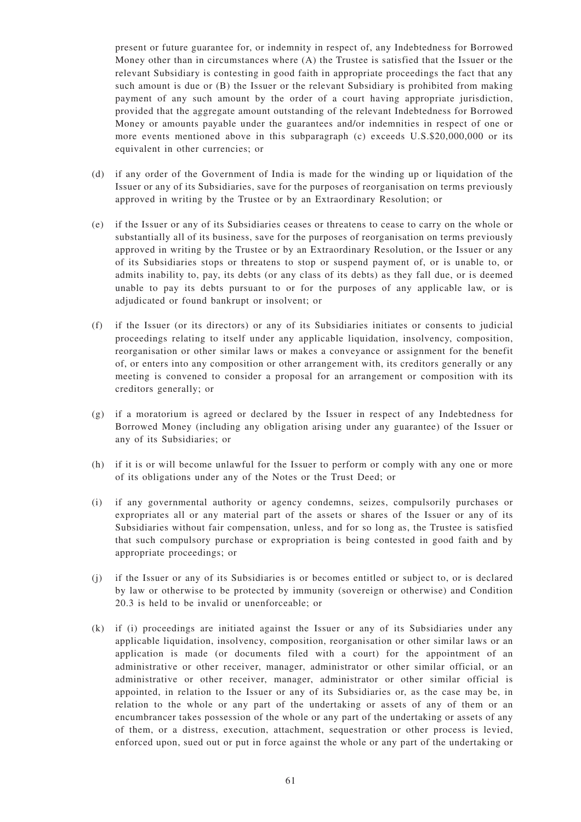present or future guarantee for, or indemnity in respect of, any Indebtedness for Borrowed Money other than in circumstances where (A) the Trustee is satisfied that the Issuer or the relevant Subsidiary is contesting in good faith in appropriate proceedings the fact that any such amount is due or (B) the Issuer or the relevant Subsidiary is prohibited from making payment of any such amount by the order of a court having appropriate jurisdiction, provided that the aggregate amount outstanding of the relevant Indebtedness for Borrowed Money or amounts payable under the guarantees and/or indemnities in respect of one or more events mentioned above in this subparagraph (c) exceeds U.S.\$20,000,000 or its equivalent in other currencies; or

- (d) if any order of the Government of India is made for the winding up or liquidation of the Issuer or any of its Subsidiaries, save for the purposes of reorganisation on terms previously approved in writing by the Trustee or by an Extraordinary Resolution; or
- (e) if the Issuer or any of its Subsidiaries ceases or threatens to cease to carry on the whole or substantially all of its business, save for the purposes of reorganisation on terms previously approved in writing by the Trustee or by an Extraordinary Resolution, or the Issuer or any of its Subsidiaries stops or threatens to stop or suspend payment of, or is unable to, or admits inability to, pay, its debts (or any class of its debts) as they fall due, or is deemed unable to pay its debts pursuant to or for the purposes of any applicable law, or is adjudicated or found bankrupt or insolvent; or
- (f) if the Issuer (or its directors) or any of its Subsidiaries initiates or consents to judicial proceedings relating to itself under any applicable liquidation, insolvency, composition, reorganisation or other similar laws or makes a conveyance or assignment for the benefit of, or enters into any composition or other arrangement with, its creditors generally or any meeting is convened to consider a proposal for an arrangement or composition with its creditors generally; or
- (g) if a moratorium is agreed or declared by the Issuer in respect of any Indebtedness for Borrowed Money (including any obligation arising under any guarantee) of the Issuer or any of its Subsidiaries; or
- (h) if it is or will become unlawful for the Issuer to perform or comply with any one or more of its obligations under any of the Notes or the Trust Deed; or
- (i) if any governmental authority or agency condemns, seizes, compulsorily purchases or expropriates all or any material part of the assets or shares of the Issuer or any of its Subsidiaries without fair compensation, unless, and for so long as, the Trustee is satisfied that such compulsory purchase or expropriation is being contested in good faith and by appropriate proceedings; or
- (j) if the Issuer or any of its Subsidiaries is or becomes entitled or subject to, or is declared by law or otherwise to be protected by immunity (sovereign or otherwise) and Condition 20.3 is held to be invalid or unenforceable; or
- (k) if (i) proceedings are initiated against the Issuer or any of its Subsidiaries under any applicable liquidation, insolvency, composition, reorganisation or other similar laws or an application is made (or documents filed with a court) for the appointment of an administrative or other receiver, manager, administrator or other similar official, or an administrative or other receiver, manager, administrator or other similar official is appointed, in relation to the Issuer or any of its Subsidiaries or, as the case may be, in relation to the whole or any part of the undertaking or assets of any of them or an encumbrancer takes possession of the whole or any part of the undertaking or assets of any of them, or a distress, execution, attachment, sequestration or other process is levied, enforced upon, sued out or put in force against the whole or any part of the undertaking or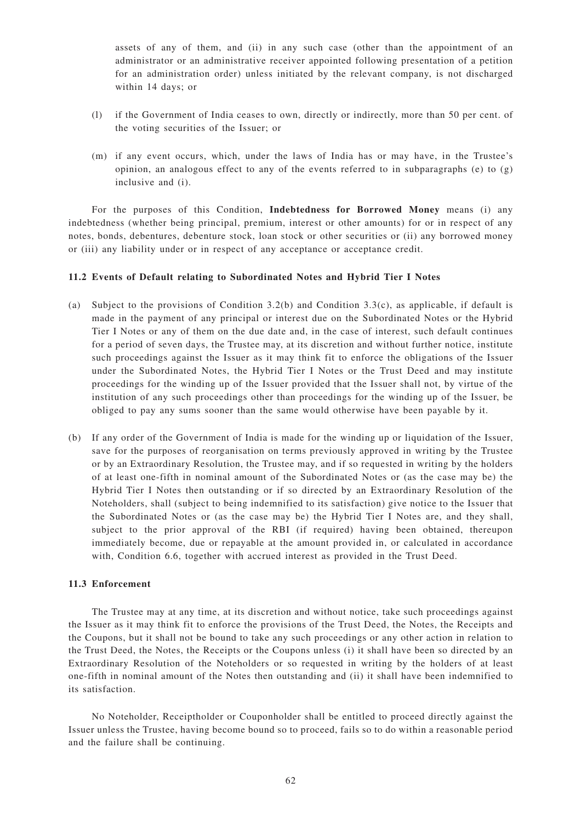assets of any of them, and (ii) in any such case (other than the appointment of an administrator or an administrative receiver appointed following presentation of a petition for an administration order) unless initiated by the relevant company, is not discharged within 14 days; or

- (l) if the Government of India ceases to own, directly or indirectly, more than 50 per cent. of the voting securities of the Issuer; or
- (m) if any event occurs, which, under the laws of India has or may have, in the Trustee's opinion, an analogous effect to any of the events referred to in subparagraphs (e) to  $(g)$ inclusive and (i).

For the purposes of this Condition, **Indebtedness for Borrowed Money** means (i) any indebtedness (whether being principal, premium, interest or other amounts) for or in respect of any notes, bonds, debentures, debenture stock, loan stock or other securities or (ii) any borrowed money or (iii) any liability under or in respect of any acceptance or acceptance credit.

## **11.2 Events of Default relating to Subordinated Notes and Hybrid Tier I Notes**

- (a) Subject to the provisions of Condition 3.2(b) and Condition 3.3(c), as applicable, if default is made in the payment of any principal or interest due on the Subordinated Notes or the Hybrid Tier I Notes or any of them on the due date and, in the case of interest, such default continues for a period of seven days, the Trustee may, at its discretion and without further notice, institute such proceedings against the Issuer as it may think fit to enforce the obligations of the Issuer under the Subordinated Notes, the Hybrid Tier I Notes or the Trust Deed and may institute proceedings for the winding up of the Issuer provided that the Issuer shall not, by virtue of the institution of any such proceedings other than proceedings for the winding up of the Issuer, be obliged to pay any sums sooner than the same would otherwise have been payable by it.
- (b) If any order of the Government of India is made for the winding up or liquidation of the Issuer, save for the purposes of reorganisation on terms previously approved in writing by the Trustee or by an Extraordinary Resolution, the Trustee may, and if so requested in writing by the holders of at least one-fifth in nominal amount of the Subordinated Notes or (as the case may be) the Hybrid Tier I Notes then outstanding or if so directed by an Extraordinary Resolution of the Noteholders, shall (subject to being indemnified to its satisfaction) give notice to the Issuer that the Subordinated Notes or (as the case may be) the Hybrid Tier I Notes are, and they shall, subject to the prior approval of the RBI (if required) having been obtained, thereupon immediately become, due or repayable at the amount provided in, or calculated in accordance with, Condition 6.6, together with accrued interest as provided in the Trust Deed.

## **11.3 Enforcement**

The Trustee may at any time, at its discretion and without notice, take such proceedings against the Issuer as it may think fit to enforce the provisions of the Trust Deed, the Notes, the Receipts and the Coupons, but it shall not be bound to take any such proceedings or any other action in relation to the Trust Deed, the Notes, the Receipts or the Coupons unless (i) it shall have been so directed by an Extraordinary Resolution of the Noteholders or so requested in writing by the holders of at least one-fifth in nominal amount of the Notes then outstanding and (ii) it shall have been indemnified to its satisfaction.

No Noteholder, Receiptholder or Couponholder shall be entitled to proceed directly against the Issuer unless the Trustee, having become bound so to proceed, fails so to do within a reasonable period and the failure shall be continuing.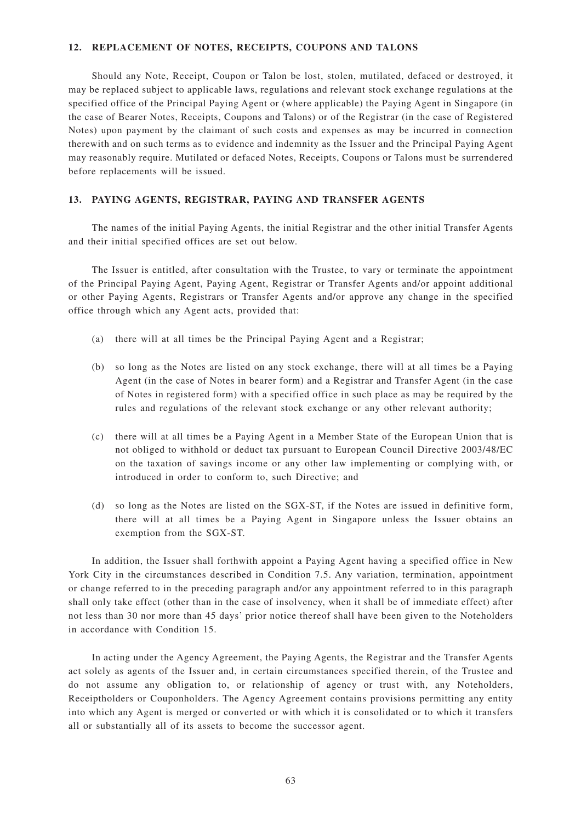### **12. REPLACEMENT OF NOTES, RECEIPTS, COUPONS AND TALONS**

Should any Note, Receipt, Coupon or Talon be lost, stolen, mutilated, defaced or destroyed, it may be replaced subject to applicable laws, regulations and relevant stock exchange regulations at the specified office of the Principal Paying Agent or (where applicable) the Paying Agent in Singapore (in the case of Bearer Notes, Receipts, Coupons and Talons) or of the Registrar (in the case of Registered Notes) upon payment by the claimant of such costs and expenses as may be incurred in connection therewith and on such terms as to evidence and indemnity as the Issuer and the Principal Paying Agent may reasonably require. Mutilated or defaced Notes, Receipts, Coupons or Talons must be surrendered before replacements will be issued.

### **13. PAYING AGENTS, REGISTRAR, PAYING AND TRANSFER AGENTS**

The names of the initial Paying Agents, the initial Registrar and the other initial Transfer Agents and their initial specified offices are set out below.

The Issuer is entitled, after consultation with the Trustee, to vary or terminate the appointment of the Principal Paying Agent, Paying Agent, Registrar or Transfer Agents and/or appoint additional or other Paying Agents, Registrars or Transfer Agents and/or approve any change in the specified office through which any Agent acts, provided that:

- (a) there will at all times be the Principal Paying Agent and a Registrar;
- (b) so long as the Notes are listed on any stock exchange, there will at all times be a Paying Agent (in the case of Notes in bearer form) and a Registrar and Transfer Agent (in the case of Notes in registered form) with a specified office in such place as may be required by the rules and regulations of the relevant stock exchange or any other relevant authority;
- (c) there will at all times be a Paying Agent in a Member State of the European Union that is not obliged to withhold or deduct tax pursuant to European Council Directive 2003/48/EC on the taxation of savings income or any other law implementing or complying with, or introduced in order to conform to, such Directive; and
- (d) so long as the Notes are listed on the SGX-ST, if the Notes are issued in definitive form, there will at all times be a Paying Agent in Singapore unless the Issuer obtains an exemption from the SGX-ST.

In addition, the Issuer shall forthwith appoint a Paying Agent having a specified office in New York City in the circumstances described in Condition 7.5. Any variation, termination, appointment or change referred to in the preceding paragraph and/or any appointment referred to in this paragraph shall only take effect (other than in the case of insolvency, when it shall be of immediate effect) after not less than 30 nor more than 45 days' prior notice thereof shall have been given to the Noteholders in accordance with Condition 15.

In acting under the Agency Agreement, the Paying Agents, the Registrar and the Transfer Agents act solely as agents of the Issuer and, in certain circumstances specified therein, of the Trustee and do not assume any obligation to, or relationship of agency or trust with, any Noteholders, Receiptholders or Couponholders. The Agency Agreement contains provisions permitting any entity into which any Agent is merged or converted or with which it is consolidated or to which it transfers all or substantially all of its assets to become the successor agent.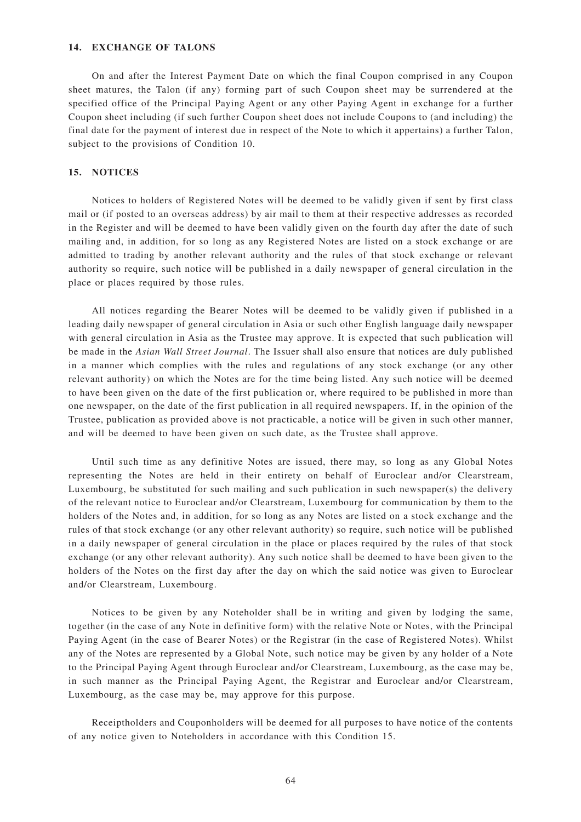## **14. EXCHANGE OF TALONS**

On and after the Interest Payment Date on which the final Coupon comprised in any Coupon sheet matures, the Talon (if any) forming part of such Coupon sheet may be surrendered at the specified office of the Principal Paying Agent or any other Paying Agent in exchange for a further Coupon sheet including (if such further Coupon sheet does not include Coupons to (and including) the final date for the payment of interest due in respect of the Note to which it appertains) a further Talon, subject to the provisions of Condition 10.

#### **15. NOTICES**

Notices to holders of Registered Notes will be deemed to be validly given if sent by first class mail or (if posted to an overseas address) by air mail to them at their respective addresses as recorded in the Register and will be deemed to have been validly given on the fourth day after the date of such mailing and, in addition, for so long as any Registered Notes are listed on a stock exchange or are admitted to trading by another relevant authority and the rules of that stock exchange or relevant authority so require, such notice will be published in a daily newspaper of general circulation in the place or places required by those rules.

All notices regarding the Bearer Notes will be deemed to be validly given if published in a leading daily newspaper of general circulation in Asia or such other English language daily newspaper with general circulation in Asia as the Trustee may approve. It is expected that such publication will be made in the *Asian Wall Street Journal*. The Issuer shall also ensure that notices are duly published in a manner which complies with the rules and regulations of any stock exchange (or any other relevant authority) on which the Notes are for the time being listed. Any such notice will be deemed to have been given on the date of the first publication or, where required to be published in more than one newspaper, on the date of the first publication in all required newspapers. If, in the opinion of the Trustee, publication as provided above is not practicable, a notice will be given in such other manner, and will be deemed to have been given on such date, as the Trustee shall approve.

Until such time as any definitive Notes are issued, there may, so long as any Global Notes representing the Notes are held in their entirety on behalf of Euroclear and/or Clearstream, Luxembourg, be substituted for such mailing and such publication in such newspaper(s) the delivery of the relevant notice to Euroclear and/or Clearstream, Luxembourg for communication by them to the holders of the Notes and, in addition, for so long as any Notes are listed on a stock exchange and the rules of that stock exchange (or any other relevant authority) so require, such notice will be published in a daily newspaper of general circulation in the place or places required by the rules of that stock exchange (or any other relevant authority). Any such notice shall be deemed to have been given to the holders of the Notes on the first day after the day on which the said notice was given to Euroclear and/or Clearstream, Luxembourg.

Notices to be given by any Noteholder shall be in writing and given by lodging the same, together (in the case of any Note in definitive form) with the relative Note or Notes, with the Principal Paying Agent (in the case of Bearer Notes) or the Registrar (in the case of Registered Notes). Whilst any of the Notes are represented by a Global Note, such notice may be given by any holder of a Note to the Principal Paying Agent through Euroclear and/or Clearstream, Luxembourg, as the case may be, in such manner as the Principal Paying Agent, the Registrar and Euroclear and/or Clearstream, Luxembourg, as the case may be, may approve for this purpose.

Receiptholders and Couponholders will be deemed for all purposes to have notice of the contents of any notice given to Noteholders in accordance with this Condition 15.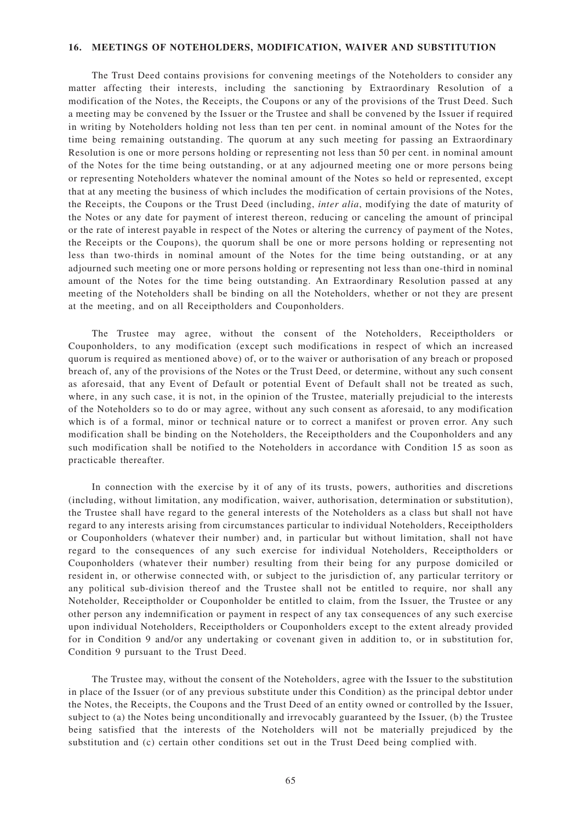#### **16. MEETINGS OF NOTEHOLDERS, MODIFICATION, WAIVER AND SUBSTITUTION**

The Trust Deed contains provisions for convening meetings of the Noteholders to consider any matter affecting their interests, including the sanctioning by Extraordinary Resolution of a modification of the Notes, the Receipts, the Coupons or any of the provisions of the Trust Deed. Such a meeting may be convened by the Issuer or the Trustee and shall be convened by the Issuer if required in writing by Noteholders holding not less than ten per cent. in nominal amount of the Notes for the time being remaining outstanding. The quorum at any such meeting for passing an Extraordinary Resolution is one or more persons holding or representing not less than 50 per cent. in nominal amount of the Notes for the time being outstanding, or at any adjourned meeting one or more persons being or representing Noteholders whatever the nominal amount of the Notes so held or represented, except that at any meeting the business of which includes the modification of certain provisions of the Notes, the Receipts, the Coupons or the Trust Deed (including, *inter alia*, modifying the date of maturity of the Notes or any date for payment of interest thereon, reducing or canceling the amount of principal or the rate of interest payable in respect of the Notes or altering the currency of payment of the Notes, the Receipts or the Coupons), the quorum shall be one or more persons holding or representing not less than two-thirds in nominal amount of the Notes for the time being outstanding, or at any adjourned such meeting one or more persons holding or representing not less than one-third in nominal amount of the Notes for the time being outstanding. An Extraordinary Resolution passed at any meeting of the Noteholders shall be binding on all the Noteholders, whether or not they are present at the meeting, and on all Receiptholders and Couponholders.

The Trustee may agree, without the consent of the Noteholders, Receiptholders or Couponholders, to any modification (except such modifications in respect of which an increased quorum is required as mentioned above) of, or to the waiver or authorisation of any breach or proposed breach of, any of the provisions of the Notes or the Trust Deed, or determine, without any such consent as aforesaid, that any Event of Default or potential Event of Default shall not be treated as such, where, in any such case, it is not, in the opinion of the Trustee, materially prejudicial to the interests of the Noteholders so to do or may agree, without any such consent as aforesaid, to any modification which is of a formal, minor or technical nature or to correct a manifest or proven error. Any such modification shall be binding on the Noteholders, the Receiptholders and the Couponholders and any such modification shall be notified to the Noteholders in accordance with Condition 15 as soon as practicable thereafter.

In connection with the exercise by it of any of its trusts, powers, authorities and discretions (including, without limitation, any modification, waiver, authorisation, determination or substitution), the Trustee shall have regard to the general interests of the Noteholders as a class but shall not have regard to any interests arising from circumstances particular to individual Noteholders, Receiptholders or Couponholders (whatever their number) and, in particular but without limitation, shall not have regard to the consequences of any such exercise for individual Noteholders, Receiptholders or Couponholders (whatever their number) resulting from their being for any purpose domiciled or resident in, or otherwise connected with, or subject to the jurisdiction of, any particular territory or any political sub-division thereof and the Trustee shall not be entitled to require, nor shall any Noteholder, Receiptholder or Couponholder be entitled to claim, from the Issuer, the Trustee or any other person any indemnification or payment in respect of any tax consequences of any such exercise upon individual Noteholders, Receiptholders or Couponholders except to the extent already provided for in Condition 9 and/or any undertaking or covenant given in addition to, or in substitution for, Condition 9 pursuant to the Trust Deed.

The Trustee may, without the consent of the Noteholders, agree with the Issuer to the substitution in place of the Issuer (or of any previous substitute under this Condition) as the principal debtor under the Notes, the Receipts, the Coupons and the Trust Deed of an entity owned or controlled by the Issuer, subject to (a) the Notes being unconditionally and irrevocably guaranteed by the Issuer, (b) the Trustee being satisfied that the interests of the Noteholders will not be materially prejudiced by the substitution and (c) certain other conditions set out in the Trust Deed being complied with.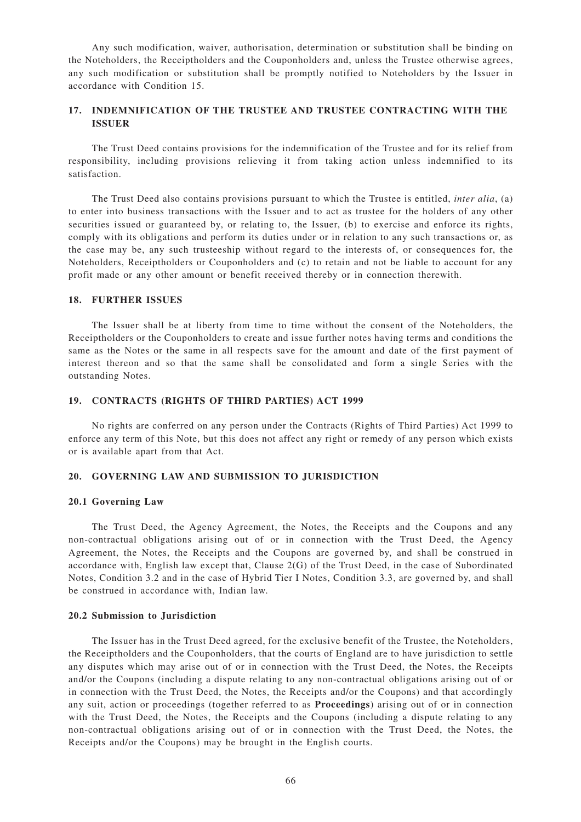Any such modification, waiver, authorisation, determination or substitution shall be binding on the Noteholders, the Receiptholders and the Couponholders and, unless the Trustee otherwise agrees, any such modification or substitution shall be promptly notified to Noteholders by the Issuer in accordance with Condition 15.

## **17. INDEMNIFICATION OF THE TRUSTEE AND TRUSTEE CONTRACTING WITH THE ISSUER**

The Trust Deed contains provisions for the indemnification of the Trustee and for its relief from responsibility, including provisions relieving it from taking action unless indemnified to its satisfaction.

The Trust Deed also contains provisions pursuant to which the Trustee is entitled, *inter alia*, (a) to enter into business transactions with the Issuer and to act as trustee for the holders of any other securities issued or guaranteed by, or relating to, the Issuer, (b) to exercise and enforce its rights, comply with its obligations and perform its duties under or in relation to any such transactions or, as the case may be, any such trusteeship without regard to the interests of, or consequences for, the Noteholders, Receiptholders or Couponholders and (c) to retain and not be liable to account for any profit made or any other amount or benefit received thereby or in connection therewith.

#### **18. FURTHER ISSUES**

The Issuer shall be at liberty from time to time without the consent of the Noteholders, the Receiptholders or the Couponholders to create and issue further notes having terms and conditions the same as the Notes or the same in all respects save for the amount and date of the first payment of interest thereon and so that the same shall be consolidated and form a single Series with the outstanding Notes.

#### **19. CONTRACTS (RIGHTS OF THIRD PARTIES) ACT 1999**

No rights are conferred on any person under the Contracts (Rights of Third Parties) Act 1999 to enforce any term of this Note, but this does not affect any right or remedy of any person which exists or is available apart from that Act.

## **20. GOVERNING LAW AND SUBMISSION TO JURISDICTION**

#### **20.1 Governing Law**

The Trust Deed, the Agency Agreement, the Notes, the Receipts and the Coupons and any non-contractual obligations arising out of or in connection with the Trust Deed, the Agency Agreement, the Notes, the Receipts and the Coupons are governed by, and shall be construed in accordance with, English law except that, Clause 2(G) of the Trust Deed, in the case of Subordinated Notes, Condition 3.2 and in the case of Hybrid Tier I Notes, Condition 3.3, are governed by, and shall be construed in accordance with, Indian law.

#### **20.2 Submission to Jurisdiction**

The Issuer has in the Trust Deed agreed, for the exclusive benefit of the Trustee, the Noteholders, the Receiptholders and the Couponholders, that the courts of England are to have jurisdiction to settle any disputes which may arise out of or in connection with the Trust Deed, the Notes, the Receipts and/or the Coupons (including a dispute relating to any non-contractual obligations arising out of or in connection with the Trust Deed, the Notes, the Receipts and/or the Coupons) and that accordingly any suit, action or proceedings (together referred to as **Proceedings**) arising out of or in connection with the Trust Deed, the Notes, the Receipts and the Coupons (including a dispute relating to any non-contractual obligations arising out of or in connection with the Trust Deed, the Notes, the Receipts and/or the Coupons) may be brought in the English courts.